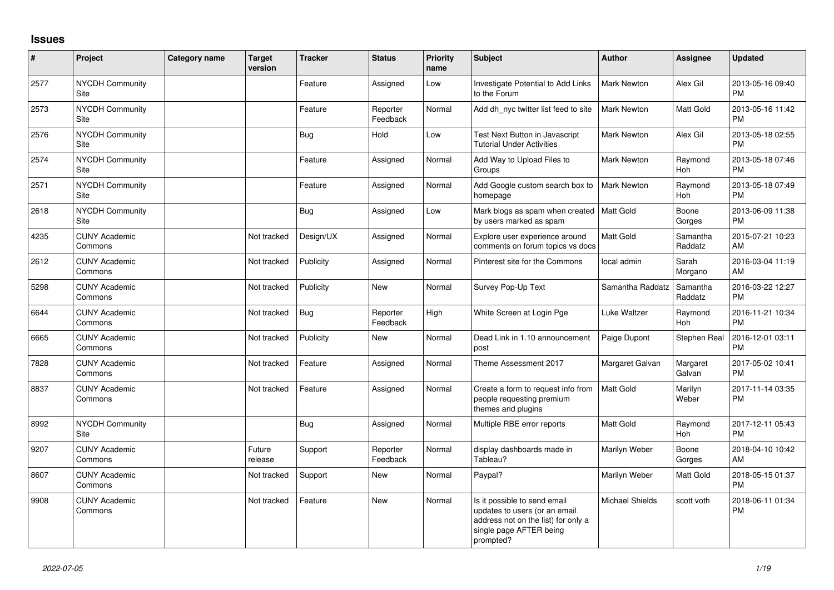## **Issues**

| #    | Project                         | <b>Category name</b> | <b>Target</b><br>version | <b>Tracker</b> | <b>Status</b>        | <b>Priority</b><br>name | <b>Subject</b>                                                                                                                               | <b>Author</b>          | Assignee              | <b>Updated</b>                |
|------|---------------------------------|----------------------|--------------------------|----------------|----------------------|-------------------------|----------------------------------------------------------------------------------------------------------------------------------------------|------------------------|-----------------------|-------------------------------|
| 2577 | <b>NYCDH Community</b><br>Site  |                      |                          | Feature        | Assigned             | Low                     | Investigate Potential to Add Links<br>to the Forum                                                                                           | <b>Mark Newton</b>     | Alex Gil              | 2013-05-16 09:40<br><b>PM</b> |
| 2573 | <b>NYCDH Community</b><br>Site  |                      |                          | Feature        | Reporter<br>Feedback | Normal                  | Add dh nyc twitter list feed to site                                                                                                         | <b>Mark Newton</b>     | Matt Gold             | 2013-05-16 11:42<br><b>PM</b> |
| 2576 | <b>NYCDH Community</b><br>Site  |                      |                          | Bug            | Hold                 | Low                     | Test Next Button in Javascript<br><b>Tutorial Under Activities</b>                                                                           | Mark Newton            | Alex Gil              | 2013-05-18 02:55<br><b>PM</b> |
| 2574 | <b>NYCDH Community</b><br>Site  |                      |                          | Feature        | Assigned             | Normal                  | Add Way to Upload Files to<br>Groups                                                                                                         | Mark Newton            | Raymond<br>Hoh        | 2013-05-18 07:46<br><b>PM</b> |
| 2571 | NYCDH Community<br>Site         |                      |                          | Feature        | Assigned             | Normal                  | Add Google custom search box to<br>homepage                                                                                                  | Mark Newton            | Raymond<br>Hoh        | 2013-05-18 07:49<br><b>PM</b> |
| 2618 | <b>NYCDH Community</b><br>Site  |                      |                          | <b>Bug</b>     | Assigned             | Low                     | Mark blogs as spam when created<br>by users marked as spam                                                                                   | <b>Matt Gold</b>       | Boone<br>Gorges       | 2013-06-09 11:38<br><b>PM</b> |
| 4235 | <b>CUNY Academic</b><br>Commons |                      | Not tracked              | Design/UX      | Assigned             | Normal                  | Explore user experience around<br>comments on forum topics vs docs                                                                           | <b>Matt Gold</b>       | Samantha<br>Raddatz   | 2015-07-21 10:23<br>AM        |
| 2612 | <b>CUNY Academic</b><br>Commons |                      | Not tracked              | Publicity      | Assigned             | Normal                  | Pinterest site for the Commons                                                                                                               | local admin            | Sarah<br>Morgano      | 2016-03-04 11:19<br>AM        |
| 5298 | <b>CUNY Academic</b><br>Commons |                      | Not tracked              | Publicity      | New                  | Normal                  | Survey Pop-Up Text                                                                                                                           | Samantha Raddatz       | Samantha<br>Raddatz   | 2016-03-22 12:27<br><b>PM</b> |
| 6644 | <b>CUNY Academic</b><br>Commons |                      | Not tracked              | <b>Bug</b>     | Reporter<br>Feedback | High                    | White Screen at Login Pge                                                                                                                    | Luke Waltzer           | Raymond<br><b>Hoh</b> | 2016-11-21 10:34<br><b>PM</b> |
| 6665 | <b>CUNY Academic</b><br>Commons |                      | Not tracked              | Publicity      | New                  | Normal                  | Dead Link in 1.10 announcement<br>post                                                                                                       | Paige Dupont           | Stephen Real          | 2016-12-01 03:11<br><b>PM</b> |
| 7828 | <b>CUNY Academic</b><br>Commons |                      | Not tracked              | Feature        | Assigned             | Normal                  | Theme Assessment 2017                                                                                                                        | Margaret Galvan        | Margaret<br>Galvan    | 2017-05-02 10:41<br><b>PM</b> |
| 8837 | <b>CUNY Academic</b><br>Commons |                      | Not tracked              | Feature        | Assigned             | Normal                  | Create a form to request info from<br>people requesting premium<br>themes and plugins                                                        | <b>Matt Gold</b>       | Marilyn<br>Weber      | 2017-11-14 03:35<br><b>PM</b> |
| 8992 | <b>NYCDH Community</b><br>Site  |                      |                          | <b>Bug</b>     | Assigned             | Normal                  | Multiple RBE error reports                                                                                                                   | <b>Matt Gold</b>       | Raymond<br>Hoh        | 2017-12-11 05:43<br><b>PM</b> |
| 9207 | <b>CUNY Academic</b><br>Commons |                      | Future<br>release        | Support        | Reporter<br>Feedback | Normal                  | display dashboards made in<br>Tableau?                                                                                                       | Marilyn Weber          | Boone<br>Gorges       | 2018-04-10 10:42<br>AM        |
| 8607 | <b>CUNY Academic</b><br>Commons |                      | Not tracked              | Support        | <b>New</b>           | Normal                  | Paypal?                                                                                                                                      | Marilyn Weber          | Matt Gold             | 2018-05-15 01:37<br><b>PM</b> |
| 9908 | <b>CUNY Academic</b><br>Commons |                      | Not tracked              | Feature        | <b>New</b>           | Normal                  | Is it possible to send email<br>updates to users (or an email<br>address not on the list) for only a<br>single page AFTER being<br>prompted? | <b>Michael Shields</b> | scott voth            | 2018-06-11 01:34<br><b>PM</b> |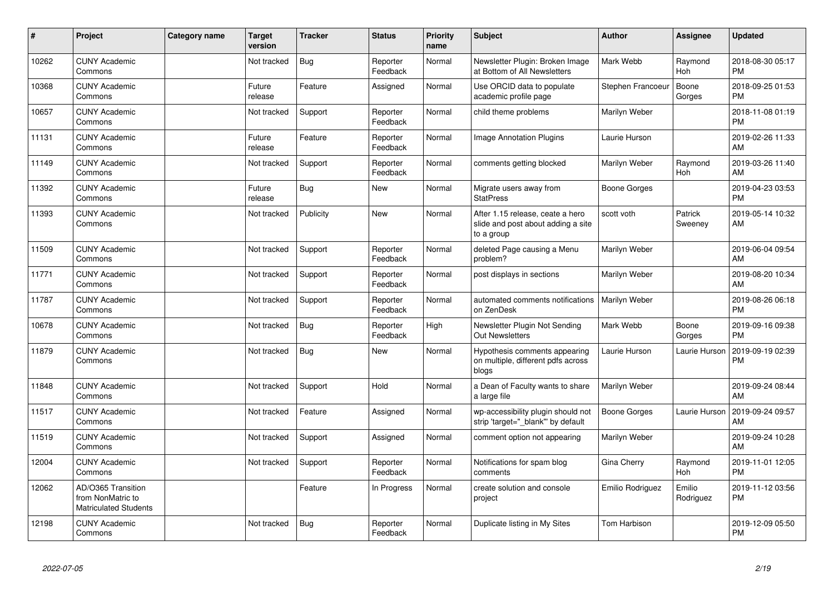| #     | Project                                                                 | Category name | <b>Target</b><br>version | <b>Tracker</b> | <b>Status</b>        | <b>Priority</b><br>name | <b>Subject</b>                                                                       | Author              | <b>Assignee</b>     | <b>Updated</b>                |
|-------|-------------------------------------------------------------------------|---------------|--------------------------|----------------|----------------------|-------------------------|--------------------------------------------------------------------------------------|---------------------|---------------------|-------------------------------|
| 10262 | <b>CUNY Academic</b><br>Commons                                         |               | Not tracked              | <b>Bug</b>     | Reporter<br>Feedback | Normal                  | Newsletter Plugin: Broken Image<br>at Bottom of All Newsletters                      | Mark Webb           | Raymond<br>Hoh      | 2018-08-30 05:17<br><b>PM</b> |
| 10368 | <b>CUNY Academic</b><br>Commons                                         |               | Future<br>release        | Feature        | Assigned             | Normal                  | Use ORCID data to populate<br>academic profile page                                  | Stephen Francoeur   | Boone<br>Gorges     | 2018-09-25 01:53<br><b>PM</b> |
| 10657 | <b>CUNY Academic</b><br>Commons                                         |               | Not tracked              | Support        | Reporter<br>Feedback | Normal                  | child theme problems                                                                 | Marilyn Weber       |                     | 2018-11-08 01:19<br><b>PM</b> |
| 11131 | <b>CUNY Academic</b><br>Commons                                         |               | Future<br>release        | Feature        | Reporter<br>Feedback | Normal                  | Image Annotation Plugins                                                             | Laurie Hurson       |                     | 2019-02-26 11:33<br>AM        |
| 11149 | <b>CUNY Academic</b><br>Commons                                         |               | Not tracked              | Support        | Reporter<br>Feedback | Normal                  | comments getting blocked                                                             | Marilyn Weber       | Raymond<br>Hoh      | 2019-03-26 11:40<br>AM        |
| 11392 | <b>CUNY Academic</b><br>Commons                                         |               | Future<br>release        | <b>Bug</b>     | <b>New</b>           | Normal                  | Migrate users away from<br><b>StatPress</b>                                          | <b>Boone Gorges</b> |                     | 2019-04-23 03:53<br><b>PM</b> |
| 11393 | <b>CUNY Academic</b><br>Commons                                         |               | Not tracked              | Publicity      | <b>New</b>           | Normal                  | After 1.15 release, ceate a hero<br>slide and post about adding a site<br>to a group | scott voth          | Patrick<br>Sweeney  | 2019-05-14 10:32<br>AM        |
| 11509 | <b>CUNY Academic</b><br>Commons                                         |               | Not tracked              | Support        | Reporter<br>Feedback | Normal                  | deleted Page causing a Menu<br>problem?                                              | Marilyn Weber       |                     | 2019-06-04 09:54<br>AM        |
| 11771 | <b>CUNY Academic</b><br>Commons                                         |               | Not tracked              | Support        | Reporter<br>Feedback | Normal                  | post displays in sections                                                            | Marilyn Weber       |                     | 2019-08-20 10:34<br>AM        |
| 11787 | <b>CUNY Academic</b><br>Commons                                         |               | Not tracked              | Support        | Reporter<br>Feedback | Normal                  | automated comments notifications<br>on ZenDesk                                       | Marilyn Weber       |                     | 2019-08-26 06:18<br><b>PM</b> |
| 10678 | <b>CUNY Academic</b><br>Commons                                         |               | Not tracked              | Bug            | Reporter<br>Feedback | High                    | Newsletter Plugin Not Sending<br>Out Newsletters                                     | Mark Webb           | Boone<br>Gorges     | 2019-09-16 09:38<br><b>PM</b> |
| 11879 | <b>CUNY Academic</b><br>Commons                                         |               | Not tracked              | <b>Bug</b>     | <b>New</b>           | Normal                  | Hypothesis comments appearing<br>on multiple, different pdfs across<br>blogs         | Laurie Hurson       | Laurie Hurson       | 2019-09-19 02:39<br><b>PM</b> |
| 11848 | <b>CUNY Academic</b><br>Commons                                         |               | Not tracked              | Support        | Hold                 | Normal                  | a Dean of Faculty wants to share<br>a large file                                     | Marilyn Weber       |                     | 2019-09-24 08:44<br>AM        |
| 11517 | <b>CUNY Academic</b><br>Commons                                         |               | Not tracked              | Feature        | Assigned             | Normal                  | wp-accessibility plugin should not<br>strip 'target=" blank" by default              | <b>Boone Gorges</b> | Laurie Hurson       | 2019-09-24 09:57<br>AM        |
| 11519 | <b>CUNY Academic</b><br>Commons                                         |               | Not tracked              | Support        | Assigned             | Normal                  | comment option not appearing                                                         | Marilyn Weber       |                     | 2019-09-24 10:28<br>AM        |
| 12004 | <b>CUNY Academic</b><br>Commons                                         |               | Not tracked              | Support        | Reporter<br>Feedback | Normal                  | Notifications for spam blog<br>comments                                              | Gina Cherry         | Raymond<br>Hoh      | 2019-11-01 12:05<br><b>PM</b> |
| 12062 | AD/O365 Transition<br>from NonMatric to<br><b>Matriculated Students</b> |               |                          | Feature        | In Progress          | Normal                  | create solution and console<br>project                                               | Emilio Rodriguez    | Emilio<br>Rodriguez | 2019-11-12 03:56<br>PM        |
| 12198 | <b>CUNY Academic</b><br>Commons                                         |               | Not tracked              | <b>Bug</b>     | Reporter<br>Feedback | Normal                  | Duplicate listing in My Sites                                                        | <b>Tom Harbison</b> |                     | 2019-12-09 05:50<br>PM        |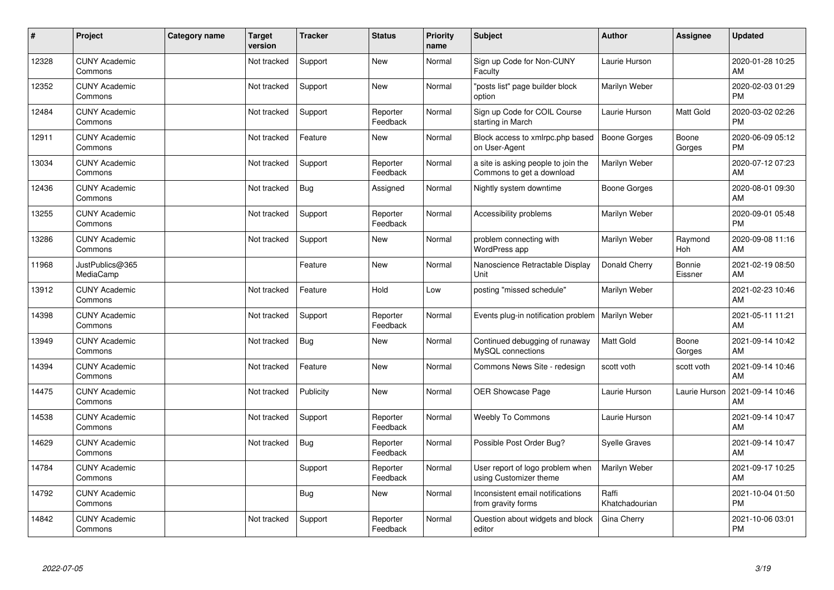| #     | Project                         | Category name | <b>Target</b><br>version | <b>Tracker</b> | <b>Status</b>        | <b>Priority</b><br>name | <b>Subject</b>                                                   | <b>Author</b>           | Assignee              | <b>Updated</b>                |
|-------|---------------------------------|---------------|--------------------------|----------------|----------------------|-------------------------|------------------------------------------------------------------|-------------------------|-----------------------|-------------------------------|
| 12328 | <b>CUNY Academic</b><br>Commons |               | Not tracked              | Support        | <b>New</b>           | Normal                  | Sign up Code for Non-CUNY<br>Faculty                             | Laurie Hurson           |                       | 2020-01-28 10:25<br>AM        |
| 12352 | <b>CUNY Academic</b><br>Commons |               | Not tracked              | Support        | <b>New</b>           | Normal                  | "posts list" page builder block<br>option                        | Marilyn Weber           |                       | 2020-02-03 01:29<br><b>PM</b> |
| 12484 | <b>CUNY Academic</b><br>Commons |               | Not tracked              | Support        | Reporter<br>Feedback | Normal                  | Sign up Code for COIL Course<br>starting in March                | Laurie Hurson           | Matt Gold             | 2020-03-02 02:26<br><b>PM</b> |
| 12911 | <b>CUNY Academic</b><br>Commons |               | Not tracked              | Feature        | <b>New</b>           | Normal                  | Block access to xmlrpc.php based<br>on User-Agent                | Boone Gorges            | Boone<br>Gorges       | 2020-06-09 05:12<br><b>PM</b> |
| 13034 | <b>CUNY Academic</b><br>Commons |               | Not tracked              | Support        | Reporter<br>Feedback | Normal                  | a site is asking people to join the<br>Commons to get a download | Marilyn Weber           |                       | 2020-07-12 07:23<br>AM        |
| 12436 | <b>CUNY Academic</b><br>Commons |               | Not tracked              | Bug            | Assigned             | Normal                  | Nightly system downtime                                          | <b>Boone Gorges</b>     |                       | 2020-08-01 09:30<br>AM        |
| 13255 | <b>CUNY Academic</b><br>Commons |               | Not tracked              | Support        | Reporter<br>Feedback | Normal                  | Accessibility problems                                           | Marilyn Weber           |                       | 2020-09-01 05:48<br><b>PM</b> |
| 13286 | <b>CUNY Academic</b><br>Commons |               | Not tracked              | Support        | <b>New</b>           | Normal                  | problem connecting with<br>WordPress app                         | Marilyn Weber           | Raymond<br><b>Hoh</b> | 2020-09-08 11:16<br>AM        |
| 11968 | JustPublics@365<br>MediaCamp    |               |                          | Feature        | <b>New</b>           | Normal                  | Nanoscience Retractable Display<br>Unit                          | Donald Cherry           | Bonnie<br>Eissner     | 2021-02-19 08:50<br>AM        |
| 13912 | <b>CUNY Academic</b><br>Commons |               | Not tracked              | Feature        | Hold                 | Low                     | posting "missed schedule"                                        | Marilyn Weber           |                       | 2021-02-23 10:46<br>AM        |
| 14398 | <b>CUNY Academic</b><br>Commons |               | Not tracked              | Support        | Reporter<br>Feedback | Normal                  | Events plug-in notification problem                              | Marilyn Weber           |                       | 2021-05-11 11:21<br>AM        |
| 13949 | <b>CUNY Academic</b><br>Commons |               | Not tracked              | <b>Bug</b>     | <b>New</b>           | Normal                  | Continued debugging of runaway<br>MySQL connections              | Matt Gold               | Boone<br>Gorges       | 2021-09-14 10:42<br>AM        |
| 14394 | <b>CUNY Academic</b><br>Commons |               | Not tracked              | Feature        | <b>New</b>           | Normal                  | Commons News Site - redesign                                     | scott voth              | scott voth            | 2021-09-14 10:46<br>AM        |
| 14475 | <b>CUNY Academic</b><br>Commons |               | Not tracked              | Publicity      | <b>New</b>           | Normal                  | OER Showcase Page                                                | Laurie Hurson           | Laurie Hurson         | 2021-09-14 10:46<br>AM        |
| 14538 | <b>CUNY Academic</b><br>Commons |               | Not tracked              | Support        | Reporter<br>Feedback | Normal                  | <b>Weebly To Commons</b>                                         | Laurie Hurson           |                       | 2021-09-14 10:47<br>AM        |
| 14629 | <b>CUNY Academic</b><br>Commons |               | Not tracked              | Bug            | Reporter<br>Feedback | Normal                  | Possible Post Order Bug?                                         | <b>Syelle Graves</b>    |                       | 2021-09-14 10:47<br>AM        |
| 14784 | <b>CUNY Academic</b><br>Commons |               |                          | Support        | Reporter<br>Feedback | Normal                  | User report of logo problem when<br>using Customizer theme       | Marilyn Weber           |                       | 2021-09-17 10:25<br>AM        |
| 14792 | <b>CUNY Academic</b><br>Commons |               |                          | Bug            | <b>New</b>           | Normal                  | Inconsistent email notifications<br>from gravity forms           | Raffi<br>Khatchadourian |                       | 2021-10-04 01:50<br><b>PM</b> |
| 14842 | <b>CUNY Academic</b><br>Commons |               | Not tracked              | Support        | Reporter<br>Feedback | Normal                  | Question about widgets and block<br>editor                       | Gina Cherry             |                       | 2021-10-06 03:01<br><b>PM</b> |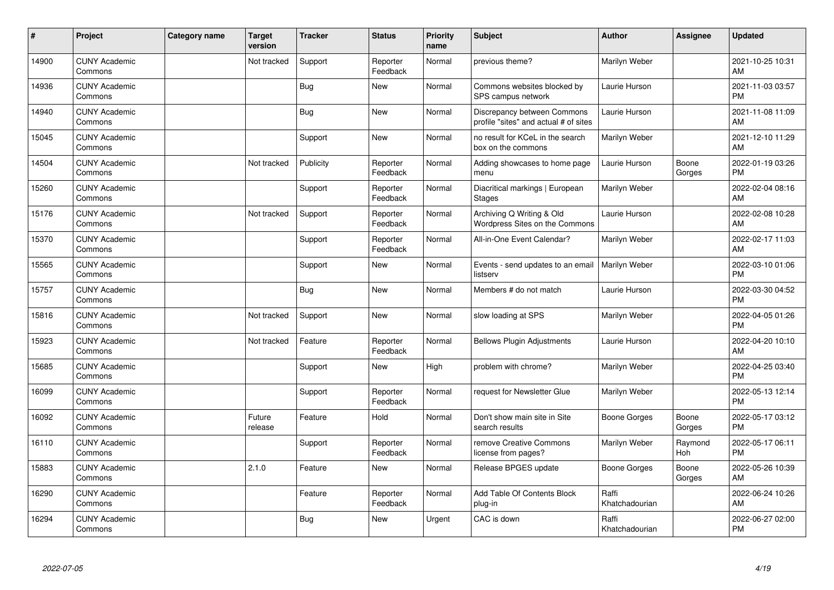| #     | Project                         | <b>Category name</b> | <b>Target</b><br>version | <b>Tracker</b> | <b>Status</b>        | <b>Priority</b><br>name | <b>Subject</b>                                                       | <b>Author</b>           | Assignee        | <b>Updated</b>                |
|-------|---------------------------------|----------------------|--------------------------|----------------|----------------------|-------------------------|----------------------------------------------------------------------|-------------------------|-----------------|-------------------------------|
| 14900 | <b>CUNY Academic</b><br>Commons |                      | Not tracked              | Support        | Reporter<br>Feedback | Normal                  | previous theme?                                                      | Marilyn Weber           |                 | 2021-10-25 10:31<br>AM        |
| 14936 | <b>CUNY Academic</b><br>Commons |                      |                          | Bug            | <b>New</b>           | Normal                  | Commons websites blocked by<br>SPS campus network                    | Laurie Hurson           |                 | 2021-11-03 03:57<br><b>PM</b> |
| 14940 | <b>CUNY Academic</b><br>Commons |                      |                          | Bug            | <b>New</b>           | Normal                  | Discrepancy between Commons<br>profile "sites" and actual # of sites | Laurie Hurson           |                 | 2021-11-08 11:09<br>AM        |
| 15045 | <b>CUNY Academic</b><br>Commons |                      |                          | Support        | <b>New</b>           | Normal                  | no result for KCeL in the search<br>box on the commons               | Marilyn Weber           |                 | 2021-12-10 11:29<br>AM        |
| 14504 | <b>CUNY Academic</b><br>Commons |                      | Not tracked              | Publicity      | Reporter<br>Feedback | Normal                  | Adding showcases to home page<br>menu                                | Laurie Hurson           | Boone<br>Gorges | 2022-01-19 03:26<br><b>PM</b> |
| 15260 | <b>CUNY Academic</b><br>Commons |                      |                          | Support        | Reporter<br>Feedback | Normal                  | Diacritical markings   European<br><b>Stages</b>                     | Marilyn Weber           |                 | 2022-02-04 08:16<br>AM        |
| 15176 | <b>CUNY Academic</b><br>Commons |                      | Not tracked              | Support        | Reporter<br>Feedback | Normal                  | Archiving Q Writing & Old<br>Wordpress Sites on the Commons          | Laurie Hurson           |                 | 2022-02-08 10:28<br>AM        |
| 15370 | <b>CUNY Academic</b><br>Commons |                      |                          | Support        | Reporter<br>Feedback | Normal                  | All-in-One Event Calendar?                                           | Marilyn Weber           |                 | 2022-02-17 11:03<br>AM        |
| 15565 | <b>CUNY Academic</b><br>Commons |                      |                          | Support        | <b>New</b>           | Normal                  | Events - send updates to an email<br>listserv                        | Marilyn Weber           |                 | 2022-03-10 01:06<br><b>PM</b> |
| 15757 | <b>CUNY Academic</b><br>Commons |                      |                          | <b>Bug</b>     | <b>New</b>           | Normal                  | Members # do not match                                               | Laurie Hurson           |                 | 2022-03-30 04:52<br><b>PM</b> |
| 15816 | <b>CUNY Academic</b><br>Commons |                      | Not tracked              | Support        | <b>New</b>           | Normal                  | slow loading at SPS                                                  | Marilyn Weber           |                 | 2022-04-05 01:26<br><b>PM</b> |
| 15923 | <b>CUNY Academic</b><br>Commons |                      | Not tracked              | Feature        | Reporter<br>Feedback | Normal                  | <b>Bellows Plugin Adjustments</b>                                    | Laurie Hurson           |                 | 2022-04-20 10:10<br>AM        |
| 15685 | <b>CUNY Academic</b><br>Commons |                      |                          | Support        | <b>New</b>           | High                    | problem with chrome?                                                 | Marilyn Weber           |                 | 2022-04-25 03:40<br><b>PM</b> |
| 16099 | <b>CUNY Academic</b><br>Commons |                      |                          | Support        | Reporter<br>Feedback | Normal                  | request for Newsletter Glue                                          | Marilyn Weber           |                 | 2022-05-13 12:14<br><b>PM</b> |
| 16092 | <b>CUNY Academic</b><br>Commons |                      | Future<br>release        | Feature        | Hold                 | Normal                  | Don't show main site in Site<br>search results                       | Boone Gorges            | Boone<br>Gorges | 2022-05-17 03:12<br><b>PM</b> |
| 16110 | <b>CUNY Academic</b><br>Commons |                      |                          | Support        | Reporter<br>Feedback | Normal                  | remove Creative Commons<br>license from pages?                       | Marilyn Weber           | Raymond<br>Hoh  | 2022-05-17 06:11<br><b>PM</b> |
| 15883 | <b>CUNY Academic</b><br>Commons |                      | 2.1.0                    | Feature        | New                  | Normal                  | Release BPGES update                                                 | Boone Gorges            | Boone<br>Gorges | 2022-05-26 10:39<br>AM        |
| 16290 | <b>CUNY Academic</b><br>Commons |                      |                          | Feature        | Reporter<br>Feedback | Normal                  | Add Table Of Contents Block<br>plug-in                               | Raffi<br>Khatchadourian |                 | 2022-06-24 10:26<br>AM        |
| 16294 | <b>CUNY Academic</b><br>Commons |                      |                          | <b>Bug</b>     | <b>New</b>           | Urgent                  | CAC is down                                                          | Raffi<br>Khatchadourian |                 | 2022-06-27 02:00<br><b>PM</b> |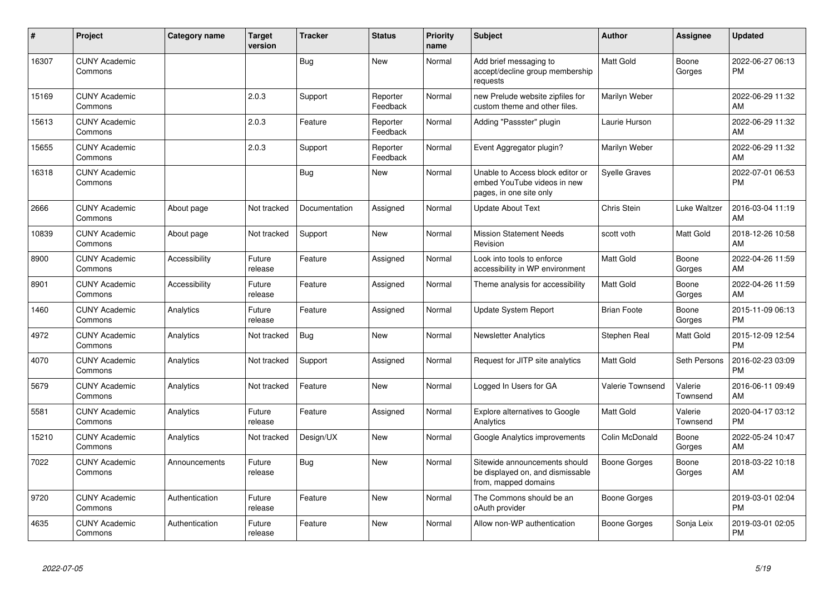| #     | Project                         | Category name        | <b>Target</b><br>version | <b>Tracker</b> | <b>Status</b>        | <b>Priority</b><br>name | <b>Subject</b>                                                                             | Author               | <b>Assignee</b>     | <b>Updated</b>                |
|-------|---------------------------------|----------------------|--------------------------|----------------|----------------------|-------------------------|--------------------------------------------------------------------------------------------|----------------------|---------------------|-------------------------------|
| 16307 | <b>CUNY Academic</b><br>Commons |                      |                          | <b>Bug</b>     | <b>New</b>           | Normal                  | Add brief messaging to<br>accept/decline group membership<br>requests                      | <b>Matt Gold</b>     | Boone<br>Gorges     | 2022-06-27 06:13<br><b>PM</b> |
| 15169 | <b>CUNY Academic</b><br>Commons |                      | 2.0.3                    | Support        | Reporter<br>Feedback | Normal                  | new Prelude website zipfiles for<br>custom theme and other files.                          | Marilyn Weber        |                     | 2022-06-29 11:32<br>AM        |
| 15613 | <b>CUNY Academic</b><br>Commons |                      | 2.0.3                    | Feature        | Reporter<br>Feedback | Normal                  | Adding "Passster" plugin                                                                   | Laurie Hurson        |                     | 2022-06-29 11:32<br>AM        |
| 15655 | <b>CUNY Academic</b><br>Commons |                      | 2.0.3                    | Support        | Reporter<br>Feedback | Normal                  | Event Aggregator plugin?                                                                   | Marilyn Weber        |                     | 2022-06-29 11:32<br>AM        |
| 16318 | <b>CUNY Academic</b><br>Commons |                      |                          | Bug            | <b>New</b>           | Normal                  | Unable to Access block editor or<br>embed YouTube videos in new<br>pages, in one site only | <b>Syelle Graves</b> |                     | 2022-07-01 06:53<br><b>PM</b> |
| 2666  | <b>CUNY Academic</b><br>Commons | About page           | Not tracked              | Documentation  | Assigned             | Normal                  | <b>Update About Text</b>                                                                   | Chris Stein          | Luke Waltzer        | 2016-03-04 11:19<br>AM        |
| 10839 | <b>CUNY Academic</b><br>Commons | About page           | Not tracked              | Support        | New                  | Normal                  | <b>Mission Statement Needs</b><br>Revision                                                 | scott voth           | <b>Matt Gold</b>    | 2018-12-26 10:58<br>AM        |
| 8900  | <b>CUNY Academic</b><br>Commons | <b>Accessibility</b> | Future<br>release        | Feature        | Assigned             | Normal                  | Look into tools to enforce<br>accessibility in WP environment                              | Matt Gold            | Boone<br>Gorges     | 2022-04-26 11:59<br>AM        |
| 8901  | <b>CUNY Academic</b><br>Commons | Accessibility        | Future<br>release        | Feature        | Assigned             | Normal                  | Theme analysis for accessibility                                                           | Matt Gold            | Boone<br>Gorges     | 2022-04-26 11:59<br>AM        |
| 1460  | <b>CUNY Academic</b><br>Commons | Analytics            | Future<br>release        | Feature        | Assigned             | Normal                  | <b>Update System Report</b>                                                                | <b>Brian Foote</b>   | Boone<br>Gorges     | 2015-11-09 06:13<br><b>PM</b> |
| 4972  | <b>CUNY Academic</b><br>Commons | Analytics            | Not tracked              | Bug            | <b>New</b>           | Normal                  | <b>Newsletter Analytics</b>                                                                | Stephen Real         | <b>Matt Gold</b>    | 2015-12-09 12:54<br><b>PM</b> |
| 4070  | <b>CUNY Academic</b><br>Commons | Analytics            | Not tracked              | Support        | Assigned             | Normal                  | Request for JITP site analytics                                                            | <b>Matt Gold</b>     | Seth Persons        | 2016-02-23 03:09<br>PM        |
| 5679  | <b>CUNY Academic</b><br>Commons | Analytics            | Not tracked              | Feature        | <b>New</b>           | Normal                  | Logged In Users for GA                                                                     | Valerie Townsend     | Valerie<br>Townsend | 2016-06-11 09:49<br>AM        |
| 5581  | <b>CUNY Academic</b><br>Commons | Analytics            | Future<br>release        | Feature        | Assigned             | Normal                  | <b>Explore alternatives to Google</b><br>Analytics                                         | Matt Gold            | Valerie<br>Townsend | 2020-04-17 03:12<br><b>PM</b> |
| 15210 | <b>CUNY Academic</b><br>Commons | Analytics            | Not tracked              | Design/UX      | New                  | Normal                  | Google Analytics improvements                                                              | Colin McDonald       | Boone<br>Gorges     | 2022-05-24 10:47<br>AM        |
| 7022  | <b>CUNY Academic</b><br>Commons | Announcements        | Future<br>release        | Bug            | <b>New</b>           | Normal                  | Sitewide announcements should<br>be displayed on, and dismissable<br>from, mapped domains  | Boone Gorges         | Boone<br>Gorges     | 2018-03-22 10:18<br>AM        |
| 9720  | <b>CUNY Academic</b><br>Commons | Authentication       | Future<br>release        | Feature        | <b>New</b>           | Normal                  | The Commons should be an<br>oAuth provider                                                 | Boone Gorges         |                     | 2019-03-01 02:04<br><b>PM</b> |
| 4635  | <b>CUNY Academic</b><br>Commons | Authentication       | Future<br>release        | Feature        | <b>New</b>           | Normal                  | Allow non-WP authentication                                                                | Boone Gorges         | Sonja Leix          | 2019-03-01 02:05<br><b>PM</b> |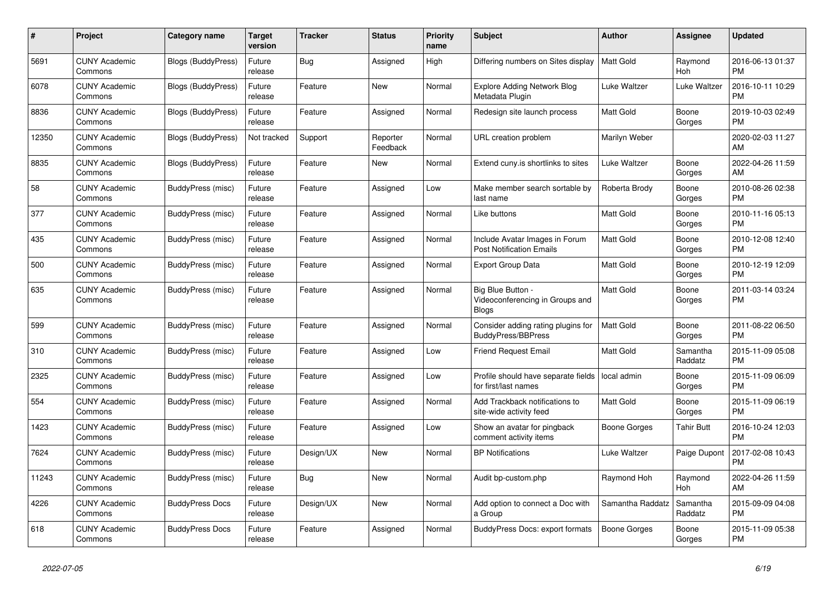| $\#$  | Project                         | <b>Category name</b>      | <b>Target</b><br>version | <b>Tracker</b> | <b>Status</b>        | <b>Priority</b><br>name | <b>Subject</b>                                                       | <b>Author</b>       | Assignee            | <b>Updated</b>                |
|-------|---------------------------------|---------------------------|--------------------------|----------------|----------------------|-------------------------|----------------------------------------------------------------------|---------------------|---------------------|-------------------------------|
| 5691  | <b>CUNY Academic</b><br>Commons | Blogs (BuddyPress)        | Future<br>release        | <b>Bug</b>     | Assigned             | High                    | Differing numbers on Sites display                                   | <b>Matt Gold</b>    | Raymond<br>Hoh      | 2016-06-13 01:37<br><b>PM</b> |
| 6078  | <b>CUNY Academic</b><br>Commons | <b>Blogs (BuddyPress)</b> | Future<br>release        | Feature        | New                  | Normal                  | <b>Explore Adding Network Blog</b><br>Metadata Plugin                | Luke Waltzer        | Luke Waltzer        | 2016-10-11 10:29<br><b>PM</b> |
| 8836  | <b>CUNY Academic</b><br>Commons | Blogs (BuddyPress)        | Future<br>release        | Feature        | Assigned             | Normal                  | Redesign site launch process                                         | <b>Matt Gold</b>    | Boone<br>Gorges     | 2019-10-03 02:49<br><b>PM</b> |
| 12350 | <b>CUNY Academic</b><br>Commons | <b>Blogs (BuddyPress)</b> | Not tracked              | Support        | Reporter<br>Feedback | Normal                  | URL creation problem                                                 | Marilyn Weber       |                     | 2020-02-03 11:27<br>AM        |
| 8835  | <b>CUNY Academic</b><br>Commons | Blogs (BuddyPress)        | Future<br>release        | Feature        | New                  | Normal                  | Extend cuny is shortlinks to sites                                   | Luke Waltzer        | Boone<br>Gorges     | 2022-04-26 11:59<br>AM        |
| 58    | <b>CUNY Academic</b><br>Commons | BuddyPress (misc)         | Future<br>release        | Feature        | Assigned             | Low                     | Make member search sortable by<br>last name                          | Roberta Brody       | Boone<br>Gorges     | 2010-08-26 02:38<br><b>PM</b> |
| 377   | <b>CUNY Academic</b><br>Commons | BuddyPress (misc)         | Future<br>release        | Feature        | Assigned             | Normal                  | Like buttons                                                         | <b>Matt Gold</b>    | Boone<br>Gorges     | 2010-11-16 05:13<br><b>PM</b> |
| 435   | <b>CUNY Academic</b><br>Commons | BuddyPress (misc)         | Future<br>release        | Feature        | Assigned             | Normal                  | Include Avatar Images in Forum<br><b>Post Notification Emails</b>    | <b>Matt Gold</b>    | Boone<br>Gorges     | 2010-12-08 12:40<br><b>PM</b> |
| 500   | <b>CUNY Academic</b><br>Commons | BuddyPress (misc)         | Future<br>release        | Feature        | Assigned             | Normal                  | <b>Export Group Data</b>                                             | Matt Gold           | Boone<br>Gorges     | 2010-12-19 12:09<br><b>PM</b> |
| 635   | <b>CUNY Academic</b><br>Commons | BuddyPress (misc)         | Future<br>release        | Feature        | Assigned             | Normal                  | Big Blue Button -<br>Videoconferencing in Groups and<br><b>Blogs</b> | Matt Gold           | Boone<br>Gorges     | 2011-03-14 03:24<br><b>PM</b> |
| 599   | <b>CUNY Academic</b><br>Commons | BuddyPress (misc)         | Future<br>release        | Feature        | Assigned             | Normal                  | Consider adding rating plugins for<br><b>BuddyPress/BBPress</b>      | <b>Matt Gold</b>    | Boone<br>Gorges     | 2011-08-22 06:50<br><b>PM</b> |
| 310   | <b>CUNY Academic</b><br>Commons | BuddyPress (misc)         | Future<br>release        | Feature        | Assigned             | Low                     | <b>Friend Request Email</b>                                          | <b>Matt Gold</b>    | Samantha<br>Raddatz | 2015-11-09 05:08<br><b>PM</b> |
| 2325  | <b>CUNY Academic</b><br>Commons | BuddyPress (misc)         | Future<br>release        | Feature        | Assigned             | Low                     | Profile should have separate fields<br>for first/last names          | local admin         | Boone<br>Gorges     | 2015-11-09 06:09<br><b>PM</b> |
| 554   | <b>CUNY Academic</b><br>Commons | BuddyPress (misc)         | Future<br>release        | Feature        | Assigned             | Normal                  | Add Trackback notifications to<br>site-wide activity feed            | Matt Gold           | Boone<br>Gorges     | 2015-11-09 06:19<br><b>PM</b> |
| 1423  | <b>CUNY Academic</b><br>Commons | BuddyPress (misc)         | Future<br>release        | Feature        | Assigned             | Low                     | Show an avatar for pingback<br>comment activity items                | Boone Gorges        | <b>Tahir Butt</b>   | 2016-10-24 12:03<br><b>PM</b> |
| 7624  | <b>CUNY Academic</b><br>Commons | BuddyPress (misc)         | Future<br>release        | Design/UX      | <b>New</b>           | Normal                  | <b>BP</b> Notifications                                              | Luke Waltzer        | Paige Dupont        | 2017-02-08 10:43<br><b>PM</b> |
| 11243 | <b>CUNY Academic</b><br>Commons | <b>BuddyPress (misc)</b>  | Future<br>release        | Bug            | <b>New</b>           | Normal                  | Audit bp-custom.php                                                  | Raymond Hoh         | Raymond<br>Hoh      | 2022-04-26 11:59<br>AM        |
| 4226  | <b>CUNY Academic</b><br>Commons | <b>BuddyPress Docs</b>    | Future<br>release        | Design/UX      | New                  | Normal                  | Add option to connect a Doc with<br>a Group                          | Samantha Raddatz    | Samantha<br>Raddatz | 2015-09-09 04:08<br><b>PM</b> |
| 618   | <b>CUNY Academic</b><br>Commons | <b>BuddyPress Docs</b>    | Future<br>release        | Feature        | Assigned             | Normal                  | <b>BuddyPress Docs: export formats</b>                               | <b>Boone Gorges</b> | Boone<br>Gorges     | 2015-11-09 05:38<br><b>PM</b> |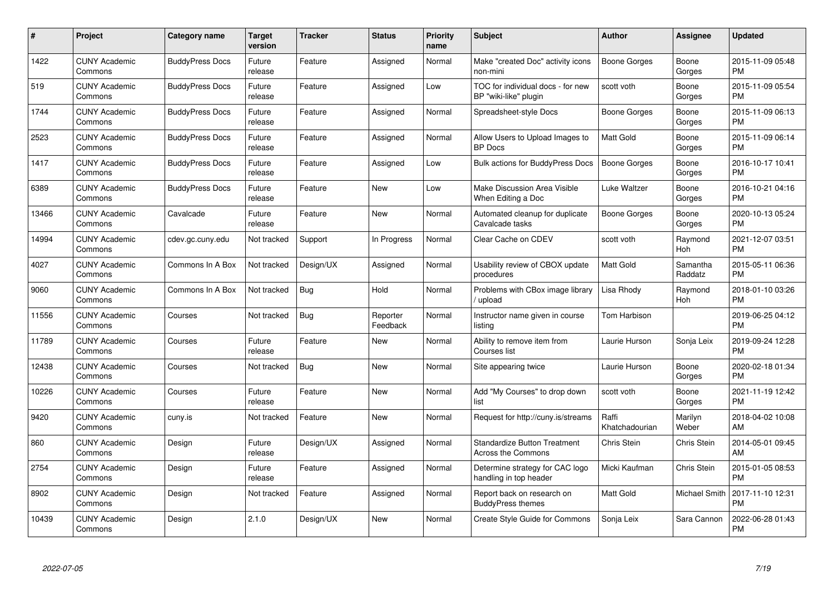| #     | Project                         | <b>Category name</b>   | Target<br>version | <b>Tracker</b> | <b>Status</b>        | Priority<br>name | <b>Subject</b>                                                   | <b>Author</b>           | <b>Assignee</b>     | <b>Updated</b>                |
|-------|---------------------------------|------------------------|-------------------|----------------|----------------------|------------------|------------------------------------------------------------------|-------------------------|---------------------|-------------------------------|
| 1422  | <b>CUNY Academic</b><br>Commons | <b>BuddyPress Docs</b> | Future<br>release | Feature        | Assigned             | Normal           | Make "created Doc" activity icons<br>non-mini                    | Boone Gorges            | Boone<br>Gorges     | 2015-11-09 05:48<br><b>PM</b> |
| 519   | <b>CUNY Academic</b><br>Commons | <b>BuddyPress Docs</b> | Future<br>release | Feature        | Assigned             | Low              | TOC for individual docs - for new<br>BP "wiki-like" plugin       | scott voth              | Boone<br>Gorges     | 2015-11-09 05:54<br><b>PM</b> |
| 1744  | <b>CUNY Academic</b><br>Commons | <b>BuddyPress Docs</b> | Future<br>release | Feature        | Assigned             | Normal           | Spreadsheet-style Docs                                           | Boone Gorges            | Boone<br>Gorges     | 2015-11-09 06:13<br><b>PM</b> |
| 2523  | <b>CUNY Academic</b><br>Commons | <b>BuddyPress Docs</b> | Future<br>release | Feature        | Assigned             | Normal           | Allow Users to Upload Images to<br><b>BP</b> Docs                | Matt Gold               | Boone<br>Gorges     | 2015-11-09 06:14<br><b>PM</b> |
| 1417  | <b>CUNY Academic</b><br>Commons | <b>BuddyPress Docs</b> | Future<br>release | Feature        | Assigned             | Low              | Bulk actions for BuddyPress Docs                                 | <b>Boone Gorges</b>     | Boone<br>Gorges     | 2016-10-17 10:41<br><b>PM</b> |
| 6389  | <b>CUNY Academic</b><br>Commons | <b>BuddyPress Docs</b> | Future<br>release | Feature        | <b>New</b>           | Low              | Make Discussion Area Visible<br>When Editing a Doc               | Luke Waltzer            | Boone<br>Gorges     | 2016-10-21 04:16<br><b>PM</b> |
| 13466 | <b>CUNY Academic</b><br>Commons | Cavalcade              | Future<br>release | Feature        | New                  | Normal           | Automated cleanup for duplicate<br>Cavalcade tasks               | Boone Gorges            | Boone<br>Gorges     | 2020-10-13 05:24<br><b>PM</b> |
| 14994 | <b>CUNY Academic</b><br>Commons | cdev.gc.cuny.edu       | Not tracked       | Support        | In Progress          | Normal           | Clear Cache on CDEV                                              | scott voth              | Raymond<br>Hoh      | 2021-12-07 03:51<br><b>PM</b> |
| 4027  | <b>CUNY Academic</b><br>Commons | Commons In A Box       | Not tracked       | Design/UX      | Assigned             | Normal           | Usability review of CBOX update<br>procedures                    | Matt Gold               | Samantha<br>Raddatz | 2015-05-11 06:36<br><b>PM</b> |
| 9060  | <b>CUNY Academic</b><br>Commons | Commons In A Box       | Not tracked       | <b>Bug</b>     | Hold                 | Normal           | Problems with CBox image library<br>/ upload                     | Lisa Rhody              | Raymond<br>Hoh      | 2018-01-10 03:26<br><b>PM</b> |
| 11556 | <b>CUNY Academic</b><br>Commons | Courses                | Not tracked       | Bug            | Reporter<br>Feedback | Normal           | Instructor name given in course<br>listing                       | Tom Harbison            |                     | 2019-06-25 04:12<br><b>PM</b> |
| 11789 | <b>CUNY Academic</b><br>Commons | Courses                | Future<br>release | Feature        | New                  | Normal           | Ability to remove item from<br>Courses list                      | Laurie Hurson           | Sonja Leix          | 2019-09-24 12:28<br><b>PM</b> |
| 12438 | <b>CUNY Academic</b><br>Commons | Courses                | Not tracked       | Bug            | New                  | Normal           | Site appearing twice                                             | Laurie Hurson           | Boone<br>Gorges     | 2020-02-18 01:34<br><b>PM</b> |
| 10226 | <b>CUNY Academic</b><br>Commons | Courses                | Future<br>release | Feature        | <b>New</b>           | Normal           | Add "My Courses" to drop down<br>list                            | scott voth              | Boone<br>Gorges     | 2021-11-19 12:42<br>PM        |
| 9420  | <b>CUNY Academic</b><br>Commons | cuny.is                | Not tracked       | Feature        | New                  | Normal           | Request for http://cuny.is/streams                               | Raffi<br>Khatchadourian | Marilyn<br>Weber    | 2018-04-02 10:08<br>AM        |
| 860   | <b>CUNY Academic</b><br>Commons | Design                 | Future<br>release | Design/UX      | Assigned             | Normal           | <b>Standardize Button Treatment</b><br><b>Across the Commons</b> | Chris Stein             | Chris Stein         | 2014-05-01 09:45<br>AM        |
| 2754  | <b>CUNY Academic</b><br>Commons | Design                 | Future<br>release | Feature        | Assigned             | Normal           | Determine strategy for CAC logo<br>handling in top header        | Micki Kaufman           | Chris Stein         | 2015-01-05 08:53<br><b>PM</b> |
| 8902  | <b>CUNY Academic</b><br>Commons | Design                 | Not tracked       | Feature        | Assigned             | Normal           | Report back on research on<br><b>BuddyPress themes</b>           | Matt Gold               | Michael Smith       | 2017-11-10 12:31<br><b>PM</b> |
| 10439 | <b>CUNY Academic</b><br>Commons | Design                 | 2.1.0             | Design/UX      | <b>New</b>           | Normal           | Create Style Guide for Commons                                   | Sonja Leix              | Sara Cannon         | 2022-06-28 01:43<br>PM        |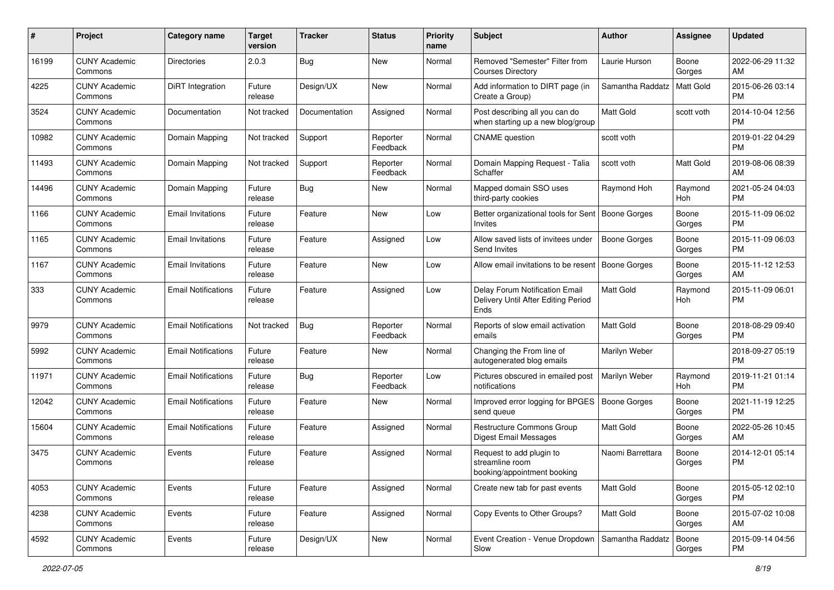| #     | Project                         | <b>Category name</b>       | <b>Target</b><br>version | <b>Tracker</b> | <b>Status</b>        | <b>Priority</b><br>name | <b>Subject</b>                                                                | Author              | Assignee         | <b>Updated</b>                |
|-------|---------------------------------|----------------------------|--------------------------|----------------|----------------------|-------------------------|-------------------------------------------------------------------------------|---------------------|------------------|-------------------------------|
| 16199 | <b>CUNY Academic</b><br>Commons | <b>Directories</b>         | 2.0.3                    | Bug            | New                  | Normal                  | Removed "Semester" Filter from<br><b>Courses Directory</b>                    | Laurie Hurson       | Boone<br>Gorges  | 2022-06-29 11:32<br>AM        |
| 4225  | <b>CUNY Academic</b><br>Commons | <b>DiRT</b> Integration    | Future<br>release        | Design/UX      | New                  | Normal                  | Add information to DIRT page (in<br>Create a Group)                           | Samantha Raddatz    | <b>Matt Gold</b> | 2015-06-26 03:14<br><b>PM</b> |
| 3524  | CUNY Academic<br>Commons        | Documentation              | Not tracked              | Documentation  | Assigned             | Normal                  | Post describing all you can do<br>when starting up a new blog/group           | <b>Matt Gold</b>    | scott voth       | 2014-10-04 12:56<br><b>PM</b> |
| 10982 | <b>CUNY Academic</b><br>Commons | Domain Mapping             | Not tracked              | Support        | Reporter<br>Feedback | Normal                  | <b>CNAME</b> question                                                         | scott voth          |                  | 2019-01-22 04:29<br><b>PM</b> |
| 11493 | <b>CUNY Academic</b><br>Commons | Domain Mapping             | Not tracked              | Support        | Reporter<br>Feedback | Normal                  | Domain Mapping Request - Talia<br>Schaffer                                    | scott voth          | <b>Matt Gold</b> | 2019-08-06 08:39<br>AM        |
| 14496 | <b>CUNY Academic</b><br>Commons | Domain Mapping             | Future<br>release        | Bug            | New                  | Normal                  | Mapped domain SSO uses<br>third-party cookies                                 | Raymond Hoh         | Raymond<br>Hoh   | 2021-05-24 04:03<br><b>PM</b> |
| 1166  | <b>CUNY Academic</b><br>Commons | <b>Email Invitations</b>   | Future<br>release        | Feature        | New                  | Low                     | Better organizational tools for Sent<br>Invites                               | Boone Gorges        | Boone<br>Gorges  | 2015-11-09 06:02<br><b>PM</b> |
| 1165  | <b>CUNY Academic</b><br>Commons | <b>Email Invitations</b>   | Future<br>release        | Feature        | Assigned             | Low                     | Allow saved lists of invitees under<br>Send Invites                           | <b>Boone Gorges</b> | Boone<br>Gorges  | 2015-11-09 06:03<br>PM.       |
| 1167  | <b>CUNY Academic</b><br>Commons | <b>Email Invitations</b>   | Future<br>release        | Feature        | New                  | Low                     | Allow email invitations to be resent                                          | Boone Gorges        | Boone<br>Gorges  | 2015-11-12 12:53<br>AM        |
| 333   | CUNY Academic<br>Commons        | <b>Email Notifications</b> | Future<br>release        | Feature        | Assigned             | Low                     | Delay Forum Notification Email<br>Delivery Until After Editing Period<br>Ends | <b>Matt Gold</b>    | Raymond<br>Hoh   | 2015-11-09 06:01<br><b>PM</b> |
| 9979  | <b>CUNY Academic</b><br>Commons | <b>Email Notifications</b> | Not tracked              | Bug            | Reporter<br>Feedback | Normal                  | Reports of slow email activation<br>emails                                    | Matt Gold           | Boone<br>Gorges  | 2018-08-29 09:40<br><b>PM</b> |
| 5992  | <b>CUNY Academic</b><br>Commons | <b>Email Notifications</b> | Future<br>release        | Feature        | New                  | Normal                  | Changing the From line of<br>autogenerated blog emails                        | Marilyn Weber       |                  | 2018-09-27 05:19<br><b>PM</b> |
| 11971 | <b>CUNY Academic</b><br>Commons | <b>Email Notifications</b> | Future<br>release        | Bug            | Reporter<br>Feedback | Low                     | Pictures obscured in emailed post<br>notifications                            | Marilyn Weber       | Raymond<br>Hoh   | 2019-11-21 01:14<br><b>PM</b> |
| 12042 | <b>CUNY Academic</b><br>Commons | <b>Email Notifications</b> | Future<br>release        | Feature        | New                  | Normal                  | Improved error logging for BPGES   Boone Gorges<br>send queue                 |                     | Boone<br>Gorges  | 2021-11-19 12:25<br><b>PM</b> |
| 15604 | <b>CUNY Academic</b><br>Commons | <b>Email Notifications</b> | Future<br>release        | Feature        | Assigned             | Normal                  | <b>Restructure Commons Group</b><br>Digest Email Messages                     | <b>Matt Gold</b>    | Boone<br>Gorges  | 2022-05-26 10:45<br>AM        |
| 3475  | <b>CUNY Academic</b><br>Commons | Events                     | Future<br>release        | Feature        | Assigned             | Normal                  | Request to add plugin to<br>streamline room<br>booking/appointment booking    | Naomi Barrettara    | Boone<br>Gorges  | 2014-12-01 05:14<br><b>PM</b> |
| 4053  | <b>CUNY Academic</b><br>Commons | Events                     | Future<br>release        | Feature        | Assigned             | Normal                  | Create new tab for past events                                                | Matt Gold           | Boone<br>Gorges  | 2015-05-12 02:10<br>PM.       |
| 4238  | <b>CUNY Academic</b><br>Commons | Events                     | Future<br>release        | Feature        | Assigned             | Normal                  | Copy Events to Other Groups?                                                  | <b>Matt Gold</b>    | Boone<br>Gorges  | 2015-07-02 10:08<br>AM        |
| 4592  | <b>CUNY Academic</b><br>Commons | Events                     | Future<br>release        | Design/UX      | New                  | Normal                  | Event Creation - Venue Dropdown<br>Slow                                       | Samantha Raddatz    | Boone<br>Gorges  | 2015-09-14 04:56<br>PM        |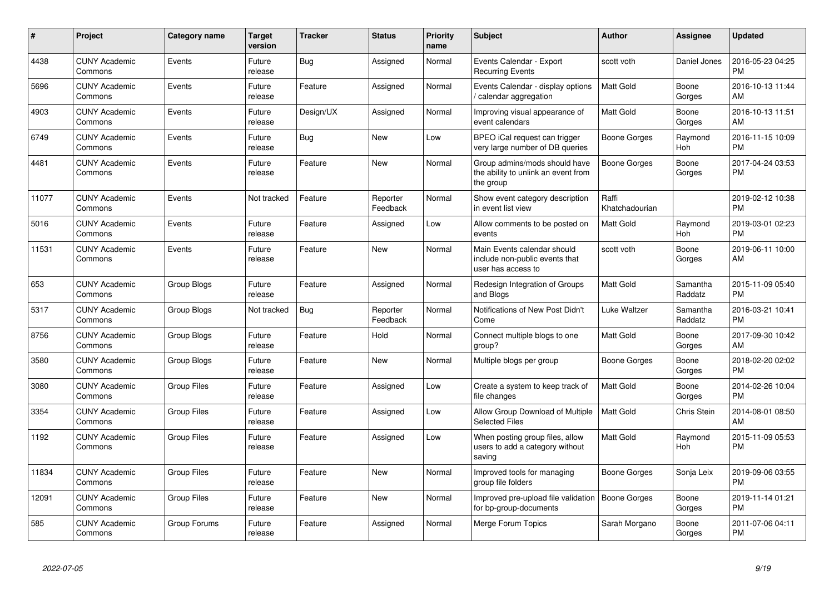| #     | <b>Project</b>                  | Category name      | <b>Target</b><br>version | <b>Tracker</b> | <b>Status</b>        | <b>Priority</b><br>name | <b>Subject</b>                                                                      | <b>Author</b>           | Assignee            | <b>Updated</b>                |
|-------|---------------------------------|--------------------|--------------------------|----------------|----------------------|-------------------------|-------------------------------------------------------------------------------------|-------------------------|---------------------|-------------------------------|
| 4438  | <b>CUNY Academic</b><br>Commons | Events             | Future<br>release        | Bug            | Assigned             | Normal                  | Events Calendar - Export<br><b>Recurring Events</b>                                 | scott voth              | Daniel Jones        | 2016-05-23 04:25<br><b>PM</b> |
| 5696  | <b>CUNY Academic</b><br>Commons | Events             | Future<br>release        | Feature        | Assigned             | Normal                  | Events Calendar - display options<br>/ calendar aggregation                         | <b>Matt Gold</b>        | Boone<br>Gorges     | 2016-10-13 11:44<br>AM        |
| 4903  | <b>CUNY Academic</b><br>Commons | Events             | Future<br>release        | Design/UX      | Assigned             | Normal                  | Improving visual appearance of<br>event calendars                                   | Matt Gold               | Boone<br>Gorges     | 2016-10-13 11:51<br>AM        |
| 6749  | <b>CUNY Academic</b><br>Commons | Events             | Future<br>release        | Bug            | <b>New</b>           | Low                     | BPEO iCal request can trigger<br>very large number of DB queries                    | Boone Gorges            | Raymond<br>Hoh      | 2016-11-15 10:09<br><b>PM</b> |
| 4481  | <b>CUNY Academic</b><br>Commons | Events             | Future<br>release        | Feature        | New                  | Normal                  | Group admins/mods should have<br>the ability to unlink an event from<br>the group   | Boone Gorges            | Boone<br>Gorges     | 2017-04-24 03:53<br><b>PM</b> |
| 11077 | <b>CUNY Academic</b><br>Commons | Events             | Not tracked              | Feature        | Reporter<br>Feedback | Normal                  | Show event category description<br>in event list view                               | Raffi<br>Khatchadourian |                     | 2019-02-12 10:38<br><b>PM</b> |
| 5016  | <b>CUNY Academic</b><br>Commons | Events             | Future<br>release        | Feature        | Assigned             | Low                     | Allow comments to be posted on<br>events                                            | <b>Matt Gold</b>        | Raymond<br>Hoh      | 2019-03-01 02:23<br><b>PM</b> |
| 11531 | <b>CUNY Academic</b><br>Commons | Events             | Future<br>release        | Feature        | <b>New</b>           | Normal                  | Main Events calendar should<br>include non-public events that<br>user has access to | scott voth              | Boone<br>Gorges     | 2019-06-11 10:00<br>AM        |
| 653   | <b>CUNY Academic</b><br>Commons | Group Blogs        | Future<br>release        | Feature        | Assigned             | Normal                  | Redesign Integration of Groups<br>and Blogs                                         | <b>Matt Gold</b>        | Samantha<br>Raddatz | 2015-11-09 05:40<br><b>PM</b> |
| 5317  | <b>CUNY Academic</b><br>Commons | Group Blogs        | Not tracked              | Bug            | Reporter<br>Feedback | Normal                  | Notifications of New Post Didn't<br>Come                                            | Luke Waltzer            | Samantha<br>Raddatz | 2016-03-21 10:41<br><b>PM</b> |
| 8756  | <b>CUNY Academic</b><br>Commons | Group Blogs        | Future<br>release        | Feature        | Hold                 | Normal                  | Connect multiple blogs to one<br>group?                                             | <b>Matt Gold</b>        | Boone<br>Gorges     | 2017-09-30 10:42<br>AM        |
| 3580  | <b>CUNY Academic</b><br>Commons | Group Blogs        | Future<br>release        | Feature        | <b>New</b>           | Normal                  | Multiple blogs per group                                                            | Boone Gorges            | Boone<br>Gorges     | 2018-02-20 02:02<br><b>PM</b> |
| 3080  | <b>CUNY Academic</b><br>Commons | <b>Group Files</b> | Future<br>release        | Feature        | Assigned             | Low                     | Create a system to keep track of<br>file changes                                    | <b>Matt Gold</b>        | Boone<br>Gorges     | 2014-02-26 10:04<br><b>PM</b> |
| 3354  | <b>CUNY Academic</b><br>Commons | <b>Group Files</b> | Future<br>release        | Feature        | Assigned             | Low                     | Allow Group Download of Multiple<br><b>Selected Files</b>                           | <b>Matt Gold</b>        | Chris Stein         | 2014-08-01 08:50<br>AM        |
| 1192  | <b>CUNY Academic</b><br>Commons | <b>Group Files</b> | Future<br>release        | Feature        | Assigned             | Low                     | When posting group files, allow<br>users to add a category without<br>saving        | Matt Gold               | Raymond<br>Hoh      | 2015-11-09 05:53<br><b>PM</b> |
| 11834 | <b>CUNY Academic</b><br>Commons | <b>Group Files</b> | Future<br>release        | Feature        | <b>New</b>           | Normal                  | Improved tools for managing<br>group file folders                                   | Boone Gorges            | Sonja Leix          | 2019-09-06 03:55<br><b>PM</b> |
| 12091 | <b>CUNY Academic</b><br>Commons | <b>Group Files</b> | Future<br>release        | Feature        | <b>New</b>           | Normal                  | Improved pre-upload file validation<br>for bp-group-documents                       | <b>Boone Gorges</b>     | Boone<br>Gorges     | 2019-11-14 01:21<br><b>PM</b> |
| 585   | <b>CUNY Academic</b><br>Commons | Group Forums       | Future<br>release        | Feature        | Assigned             | Normal                  | Merge Forum Topics                                                                  | Sarah Morgano           | Boone<br>Gorges     | 2011-07-06 04:11<br>PM        |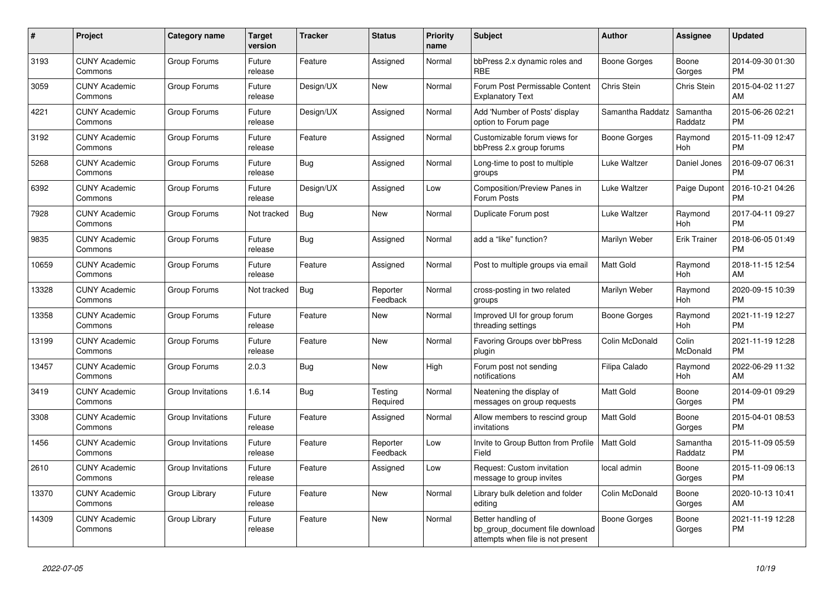| #     | Project                         | <b>Category name</b> | <b>Target</b><br>version | <b>Tracker</b> | <b>Status</b>        | <b>Priority</b><br>name | <b>Subject</b>                                                                             | <b>Author</b>       | Assignee            | <b>Updated</b>                |
|-------|---------------------------------|----------------------|--------------------------|----------------|----------------------|-------------------------|--------------------------------------------------------------------------------------------|---------------------|---------------------|-------------------------------|
| 3193  | <b>CUNY Academic</b><br>Commons | Group Forums         | Future<br>release        | Feature        | Assigned             | Normal                  | bbPress 2.x dynamic roles and<br><b>RBE</b>                                                | Boone Gorges        | Boone<br>Gorges     | 2014-09-30 01:30<br><b>PM</b> |
| 3059  | <b>CUNY Academic</b><br>Commons | Group Forums         | Future<br>release        | Design/UX      | New                  | Normal                  | Forum Post Permissable Content<br><b>Explanatory Text</b>                                  | Chris Stein         | Chris Stein         | 2015-04-02 11:27<br>AM        |
| 4221  | <b>CUNY Academic</b><br>Commons | Group Forums         | Future<br>release        | Design/UX      | Assigned             | Normal                  | Add 'Number of Posts' display<br>option to Forum page                                      | Samantha Raddatz    | Samantha<br>Raddatz | 2015-06-26 02:21<br><b>PM</b> |
| 3192  | <b>CUNY Academic</b><br>Commons | Group Forums         | Future<br>release        | Feature        | Assigned             | Normal                  | Customizable forum views for<br>bbPress 2.x group forums                                   | Boone Gorges        | Raymond<br>Hoh      | 2015-11-09 12:47<br><b>PM</b> |
| 5268  | <b>CUNY Academic</b><br>Commons | Group Forums         | Future<br>release        | Bug            | Assigned             | Normal                  | Long-time to post to multiple<br>groups                                                    | Luke Waltzer        | Daniel Jones        | 2016-09-07 06:31<br><b>PM</b> |
| 6392  | <b>CUNY Academic</b><br>Commons | Group Forums         | Future<br>release        | Design/UX      | Assigned             | Low                     | Composition/Preview Panes in<br>Forum Posts                                                | Luke Waltzer        | Paige Dupont        | 2016-10-21 04:26<br><b>PM</b> |
| 7928  | <b>CUNY Academic</b><br>Commons | Group Forums         | Not tracked              | Bug            | <b>New</b>           | Normal                  | Duplicate Forum post                                                                       | Luke Waltzer        | Raymond<br>Hoh      | 2017-04-11 09:27<br><b>PM</b> |
| 9835  | <b>CUNY Academic</b><br>Commons | Group Forums         | Future<br>release        | <b>Bug</b>     | Assigned             | Normal                  | add a "like" function?                                                                     | Marilyn Weber       | <b>Erik Trainer</b> | 2018-06-05 01:49<br><b>PM</b> |
| 10659 | <b>CUNY Academic</b><br>Commons | Group Forums         | Future<br>release        | Feature        | Assigned             | Normal                  | Post to multiple groups via email                                                          | <b>Matt Gold</b>    | Raymond<br>Hoh      | 2018-11-15 12:54<br>AM        |
| 13328 | <b>CUNY Academic</b><br>Commons | Group Forums         | Not tracked              | Bug            | Reporter<br>Feedback | Normal                  | cross-posting in two related<br>groups                                                     | Marilyn Weber       | Raymond<br>Hoh      | 2020-09-15 10:39<br><b>PM</b> |
| 13358 | <b>CUNY Academic</b><br>Commons | Group Forums         | Future<br>release        | Feature        | <b>New</b>           | Normal                  | Improved UI for group forum<br>threading settings                                          | Boone Gorges        | Raymond<br>Hoh      | 2021-11-19 12:27<br><b>PM</b> |
| 13199 | <b>CUNY Academic</b><br>Commons | Group Forums         | Future<br>release        | Feature        | New                  | Normal                  | Favoring Groups over bbPress<br>plugin                                                     | Colin McDonald      | Colin<br>McDonald   | 2021-11-19 12:28<br><b>PM</b> |
| 13457 | <b>CUNY Academic</b><br>Commons | Group Forums         | 2.0.3                    | Bug            | New                  | High                    | Forum post not sending<br>notifications                                                    | Filipa Calado       | Raymond<br>Hoh      | 2022-06-29 11:32<br>AM        |
| 3419  | <b>CUNY Academic</b><br>Commons | Group Invitations    | 1.6.14                   | <b>Bug</b>     | Testing<br>Required  | Normal                  | Neatening the display of<br>messages on group requests                                     | <b>Matt Gold</b>    | Boone<br>Gorges     | 2014-09-01 09:29<br><b>PM</b> |
| 3308  | <b>CUNY Academic</b><br>Commons | Group Invitations    | Future<br>release        | Feature        | Assigned             | Normal                  | Allow members to rescind group<br>invitations                                              | Matt Gold           | Boone<br>Gorges     | 2015-04-01 08:53<br><b>PM</b> |
| 1456  | <b>CUNY Academic</b><br>Commons | Group Invitations    | Future<br>release        | Feature        | Reporter<br>Feedback | Low                     | Invite to Group Button from Profile<br>Field                                               | <b>Matt Gold</b>    | Samantha<br>Raddatz | 2015-11-09 05:59<br><b>PM</b> |
| 2610  | <b>CUNY Academic</b><br>Commons | Group Invitations    | Future<br>release        | Feature        | Assigned             | Low                     | Request: Custom invitation<br>message to group invites                                     | local admin         | Boone<br>Gorges     | 2015-11-09 06:13<br><b>PM</b> |
| 13370 | <b>CUNY Academic</b><br>Commons | Group Library        | Future<br>release        | Feature        | <b>New</b>           | Normal                  | Library bulk deletion and folder<br>editing                                                | Colin McDonald      | Boone<br>Gorges     | 2020-10-13 10:41<br>AM        |
| 14309 | <b>CUNY Academic</b><br>Commons | Group Library        | Future<br>release        | Feature        | New                  | Normal                  | Better handling of<br>bp_group_document file download<br>attempts when file is not present | <b>Boone Gorges</b> | Boone<br>Gorges     | 2021-11-19 12:28<br><b>PM</b> |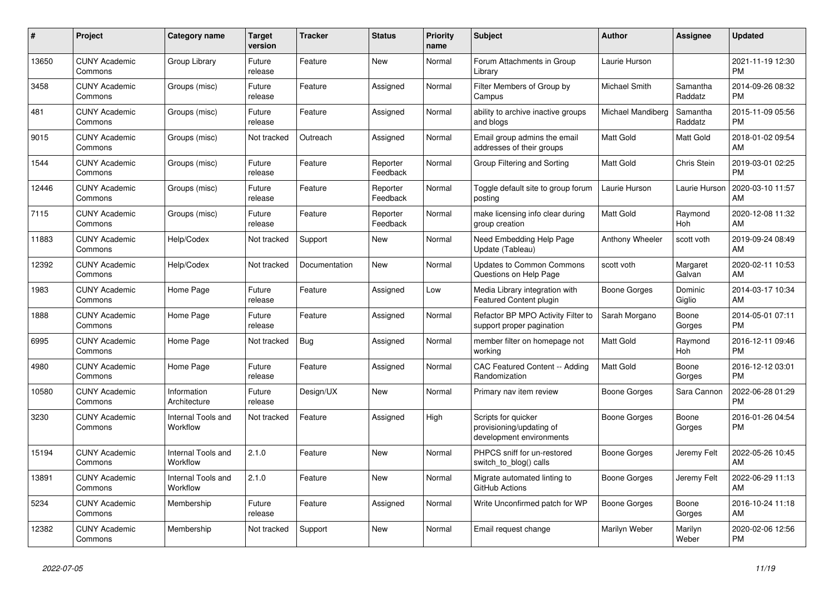| #     | Project                         | Category name                  | <b>Target</b><br>version | <b>Tracker</b> | <b>Status</b>        | <b>Priority</b><br>name | <b>Subject</b>                                                              | <b>Author</b>     | Assignee            | <b>Updated</b>                |
|-------|---------------------------------|--------------------------------|--------------------------|----------------|----------------------|-------------------------|-----------------------------------------------------------------------------|-------------------|---------------------|-------------------------------|
| 13650 | <b>CUNY Academic</b><br>Commons | Group Library                  | Future<br>release        | Feature        | New                  | Normal                  | Forum Attachments in Group<br>Library                                       | Laurie Hurson     |                     | 2021-11-19 12:30<br><b>PM</b> |
| 3458  | <b>CUNY Academic</b><br>Commons | Groups (misc)                  | Future<br>release        | Feature        | Assigned             | Normal                  | Filter Members of Group by<br>Campus                                        | Michael Smith     | Samantha<br>Raddatz | 2014-09-26 08:32<br><b>PM</b> |
| 481   | <b>CUNY Academic</b><br>Commons | Groups (misc)                  | Future<br>release        | Feature        | Assigned             | Normal                  | ability to archive inactive groups<br>and blogs                             | Michael Mandiberg | Samantha<br>Raddatz | 2015-11-09 05:56<br><b>PM</b> |
| 9015  | <b>CUNY Academic</b><br>Commons | Groups (misc)                  | Not tracked              | Outreach       | Assigned             | Normal                  | Email group admins the email<br>addresses of their groups                   | <b>Matt Gold</b>  | Matt Gold           | 2018-01-02 09:54<br>AM        |
| 1544  | <b>CUNY Academic</b><br>Commons | Groups (misc)                  | Future<br>release        | Feature        | Reporter<br>Feedback | Normal                  | Group Filtering and Sorting                                                 | Matt Gold         | Chris Stein         | 2019-03-01 02:25<br><b>PM</b> |
| 12446 | <b>CUNY Academic</b><br>Commons | Groups (misc)                  | Future<br>release        | Feature        | Reporter<br>Feedback | Normal                  | Toggle default site to group forum<br>posting                               | Laurie Hurson     | Laurie Hurson       | 2020-03-10 11:57<br>AM        |
| 7115  | <b>CUNY Academic</b><br>Commons | Groups (misc)                  | Future<br>release        | Feature        | Reporter<br>Feedback | Normal                  | make licensing info clear during<br>group creation                          | <b>Matt Gold</b>  | Raymond<br>Hoh      | 2020-12-08 11:32<br>AM        |
| 11883 | <b>CUNY Academic</b><br>Commons | Help/Codex                     | Not tracked              | Support        | <b>New</b>           | Normal                  | Need Embedding Help Page<br>Update (Tableau)                                | Anthony Wheeler   | scott voth          | 2019-09-24 08:49<br>AM        |
| 12392 | <b>CUNY Academic</b><br>Commons | Help/Codex                     | Not tracked              | Documentation  | <b>New</b>           | Normal                  | <b>Updates to Common Commons</b><br>Questions on Help Page                  | scott voth        | Margaret<br>Galvan  | 2020-02-11 10:53<br>AM        |
| 1983  | <b>CUNY Academic</b><br>Commons | Home Page                      | Future<br>release        | Feature        | Assigned             | Low                     | Media Library integration with<br><b>Featured Content plugin</b>            | Boone Gorges      | Dominic<br>Giglio   | 2014-03-17 10:34<br>AM        |
| 1888  | <b>CUNY Academic</b><br>Commons | Home Page                      | Future<br>release        | Feature        | Assigned             | Normal                  | Refactor BP MPO Activity Filter to<br>support proper pagination             | Sarah Morgano     | Boone<br>Gorges     | 2014-05-01 07:11<br><b>PM</b> |
| 6995  | <b>CUNY Academic</b><br>Commons | Home Page                      | Not tracked              | <b>Bug</b>     | Assigned             | Normal                  | member filter on homepage not<br>working                                    | Matt Gold         | Raymond<br>Hoh      | 2016-12-11 09:46<br><b>PM</b> |
| 4980  | <b>CUNY Academic</b><br>Commons | Home Page                      | Future<br>release        | Feature        | Assigned             | Normal                  | CAC Featured Content -- Adding<br>Randomization                             | Matt Gold         | Boone<br>Gorges     | 2016-12-12 03:01<br><b>PM</b> |
| 10580 | <b>CUNY Academic</b><br>Commons | Information<br>Architecture    | Future<br>release        | Design/UX      | New                  | Normal                  | Primary nav item review                                                     | Boone Gorges      | Sara Cannon         | 2022-06-28 01:29<br><b>PM</b> |
| 3230  | <b>CUNY Academic</b><br>Commons | Internal Tools and<br>Workflow | Not tracked              | Feature        | Assigned             | High                    | Scripts for quicker<br>provisioning/updating of<br>development environments | Boone Gorges      | Boone<br>Gorges     | 2016-01-26 04:54<br><b>PM</b> |
| 15194 | <b>CUNY Academic</b><br>Commons | Internal Tools and<br>Workflow | 2.1.0                    | Feature        | New                  | Normal                  | PHPCS sniff for un-restored<br>switch_to_blog() calls                       | Boone Gorges      | Jeremy Felt         | 2022-05-26 10:45<br>AM        |
| 13891 | <b>CUNY Academic</b><br>Commons | Internal Tools and<br>Workflow | 2.1.0                    | Feature        | <b>New</b>           | Normal                  | Migrate automated linting to<br>GitHub Actions                              | Boone Gorges      | Jeremy Felt         | 2022-06-29 11:13<br>AM        |
| 5234  | <b>CUNY Academic</b><br>Commons | Membership                     | Future<br>release        | Feature        | Assigned             | Normal                  | Write Unconfirmed patch for WP                                              | Boone Gorges      | Boone<br>Gorges     | 2016-10-24 11:18<br>AM        |
| 12382 | <b>CUNY Academic</b><br>Commons | Membership                     | Not tracked              | Support        | <b>New</b>           | Normal                  | Email request change                                                        | Marilyn Weber     | Marilyn<br>Weber    | 2020-02-06 12:56<br><b>PM</b> |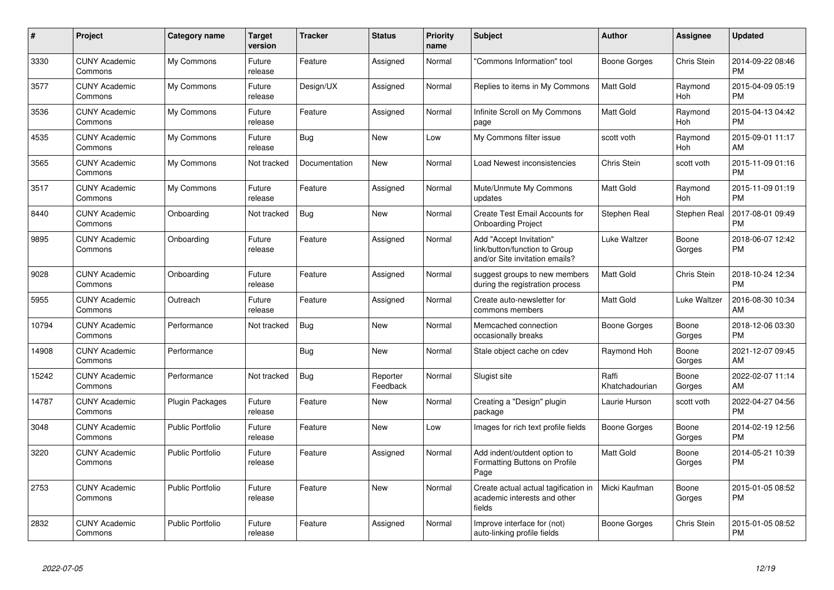| #     | Project                         | <b>Category name</b>    | <b>Target</b><br>version | <b>Tracker</b> | <b>Status</b>        | <b>Priority</b><br>name | <b>Subject</b>                                                                             | <b>Author</b>           | <b>Assignee</b> | <b>Updated</b>                |
|-------|---------------------------------|-------------------------|--------------------------|----------------|----------------------|-------------------------|--------------------------------------------------------------------------------------------|-------------------------|-----------------|-------------------------------|
| 3330  | <b>CUNY Academic</b><br>Commons | My Commons              | Future<br>release        | Feature        | Assigned             | Normal                  | "Commons Information" tool                                                                 | Boone Gorges            | Chris Stein     | 2014-09-22 08:46<br><b>PM</b> |
| 3577  | <b>CUNY Academic</b><br>Commons | My Commons              | Future<br>release        | Design/UX      | Assigned             | Normal                  | Replies to items in My Commons                                                             | <b>Matt Gold</b>        | Raymond<br>Hoh  | 2015-04-09 05:19<br><b>PM</b> |
| 3536  | <b>CUNY Academic</b><br>Commons | My Commons              | Future<br>release        | Feature        | Assigned             | Normal                  | Infinite Scroll on My Commons<br>page                                                      | <b>Matt Gold</b>        | Raymond<br>Hoh  | 2015-04-13 04:42<br><b>PM</b> |
| 4535  | <b>CUNY Academic</b><br>Commons | My Commons              | Future<br>release        | Bug            | New                  | Low                     | My Commons filter issue                                                                    | scott voth              | Raymond<br>Hoh  | 2015-09-01 11:17<br>AM        |
| 3565  | <b>CUNY Academic</b><br>Commons | My Commons              | Not tracked              | Documentation  | <b>New</b>           | Normal                  | Load Newest inconsistencies                                                                | Chris Stein             | scott voth      | 2015-11-09 01:16<br><b>PM</b> |
| 3517  | <b>CUNY Academic</b><br>Commons | My Commons              | Future<br>release        | Feature        | Assigned             | Normal                  | Mute/Unmute My Commons<br>updates                                                          | <b>Matt Gold</b>        | Raymond<br>Hoh  | 2015-11-09 01:19<br><b>PM</b> |
| 8440  | <b>CUNY Academic</b><br>Commons | Onboarding              | Not tracked              | <b>Bug</b>     | New                  | Normal                  | Create Test Email Accounts for<br><b>Onboarding Project</b>                                | Stephen Real            | Stephen Real    | 2017-08-01 09:49<br><b>PM</b> |
| 9895  | <b>CUNY Academic</b><br>Commons | Onboarding              | Future<br>release        | Feature        | Assigned             | Normal                  | Add "Accept Invitation"<br>link/button/function to Group<br>and/or Site invitation emails? | Luke Waltzer            | Boone<br>Gorges | 2018-06-07 12:42<br><b>PM</b> |
| 9028  | <b>CUNY Academic</b><br>Commons | Onboarding              | Future<br>release        | Feature        | Assigned             | Normal                  | suggest groups to new members<br>during the registration process                           | Matt Gold               | Chris Stein     | 2018-10-24 12:34<br><b>PM</b> |
| 5955  | <b>CUNY Academic</b><br>Commons | Outreach                | Future<br>release        | Feature        | Assigned             | Normal                  | Create auto-newsletter for<br>commons members                                              | Matt Gold               | Luke Waltzer    | 2016-08-30 10:34<br>AM        |
| 10794 | <b>CUNY Academic</b><br>Commons | Performance             | Not tracked              | <b>Bug</b>     | New                  | Normal                  | Memcached connection<br>occasionally breaks                                                | <b>Boone Gorges</b>     | Boone<br>Gorges | 2018-12-06 03:30<br><b>PM</b> |
| 14908 | <b>CUNY Academic</b><br>Commons | Performance             |                          | Bug            | <b>New</b>           | Normal                  | Stale object cache on cdev                                                                 | Raymond Hoh             | Boone<br>Gorges | 2021-12-07 09:45<br>AM        |
| 15242 | <b>CUNY Academic</b><br>Commons | Performance             | Not tracked              | Bug            | Reporter<br>Feedback | Normal                  | Slugist site                                                                               | Raffi<br>Khatchadourian | Boone<br>Gorges | 2022-02-07 11:14<br>AM        |
| 14787 | <b>CUNY Academic</b><br>Commons | <b>Plugin Packages</b>  | Future<br>release        | Feature        | New                  | Normal                  | Creating a "Design" plugin<br>package                                                      | Laurie Hurson           | scott voth      | 2022-04-27 04:56<br><b>PM</b> |
| 3048  | <b>CUNY Academic</b><br>Commons | <b>Public Portfolio</b> | Future<br>release        | Feature        | New                  | Low                     | Images for rich text profile fields                                                        | Boone Gorges            | Boone<br>Gorges | 2014-02-19 12:56<br><b>PM</b> |
| 3220  | <b>CUNY Academic</b><br>Commons | <b>Public Portfolio</b> | Future<br>release        | Feature        | Assigned             | Normal                  | Add indent/outdent option to<br>Formatting Buttons on Profile<br>Page                      | <b>Matt Gold</b>        | Boone<br>Gorges | 2014-05-21 10:39<br><b>PM</b> |
| 2753  | <b>CUNY Academic</b><br>Commons | <b>Public Portfolio</b> | Future<br>release        | Feature        | <b>New</b>           | Normal                  | Create actual actual tagification in<br>academic interests and other<br>fields             | Micki Kaufman           | Boone<br>Gorges | 2015-01-05 08:52<br><b>PM</b> |
| 2832  | <b>CUNY Academic</b><br>Commons | Public Portfolio        | Future<br>release        | Feature        | Assigned             | Normal                  | Improve interface for (not)<br>auto-linking profile fields                                 | Boone Gorges            | Chris Stein     | 2015-01-05 08:52<br><b>PM</b> |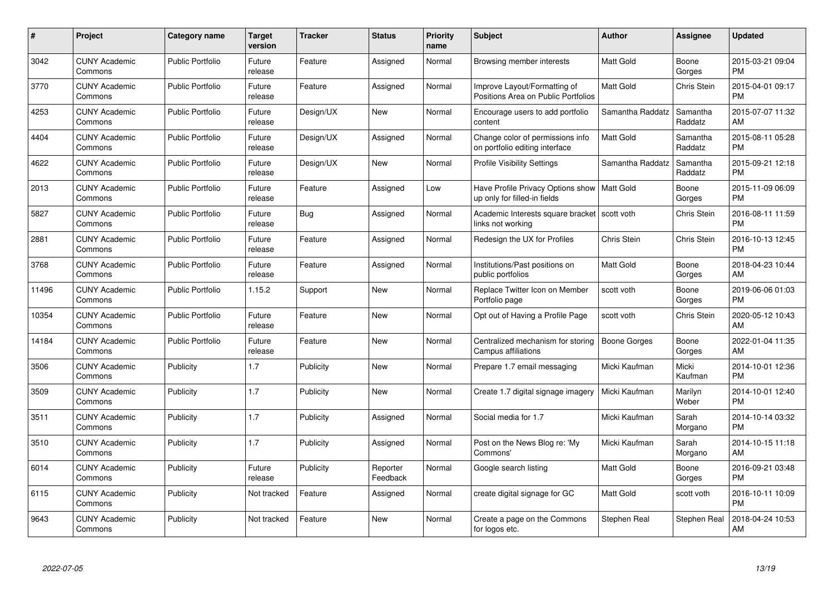| $\pmb{\#}$ | Project                         | <b>Category name</b>    | <b>Target</b><br>version | <b>Tracker</b> | <b>Status</b>        | Priority<br>name | <b>Subject</b>                                                                | <b>Author</b>    | <b>Assignee</b>     | <b>Updated</b>                |
|------------|---------------------------------|-------------------------|--------------------------|----------------|----------------------|------------------|-------------------------------------------------------------------------------|------------------|---------------------|-------------------------------|
| 3042       | <b>CUNY Academic</b><br>Commons | <b>Public Portfolio</b> | Future<br>release        | Feature        | Assigned             | Normal           | Browsing member interests                                                     | <b>Matt Gold</b> | Boone<br>Gorges     | 2015-03-21 09:04<br><b>PM</b> |
| 3770       | <b>CUNY Academic</b><br>Commons | <b>Public Portfolio</b> | Future<br>release        | Feature        | Assigned             | Normal           | Improve Layout/Formatting of<br>Positions Area on Public Portfolios           | <b>Matt Gold</b> | <b>Chris Stein</b>  | 2015-04-01 09:17<br><b>PM</b> |
| 4253       | <b>CUNY Academic</b><br>Commons | <b>Public Portfolio</b> | Future<br>release        | Design/UX      | New                  | Normal           | Encourage users to add portfolio<br>content                                   | Samantha Raddatz | Samantha<br>Raddatz | 2015-07-07 11:32<br>AM        |
| 4404       | <b>CUNY Academic</b><br>Commons | <b>Public Portfolio</b> | Future<br>release        | Design/UX      | Assigned             | Normal           | Change color of permissions info<br>on portfolio editing interface            | Matt Gold        | Samantha<br>Raddatz | 2015-08-11 05:28<br><b>PM</b> |
| 4622       | <b>CUNY Academic</b><br>Commons | <b>Public Portfolio</b> | Future<br>release        | Design/UX      | <b>New</b>           | Normal           | <b>Profile Visibility Settings</b>                                            | Samantha Raddatz | Samantha<br>Raddatz | 2015-09-21 12:18<br><b>PM</b> |
| 2013       | <b>CUNY Academic</b><br>Commons | <b>Public Portfolio</b> | Future<br>release        | Feature        | Assigned             | Low              | Have Profile Privacy Options show   Matt Gold<br>up only for filled-in fields |                  | Boone<br>Gorges     | 2015-11-09 06:09<br><b>PM</b> |
| 5827       | <b>CUNY Academic</b><br>Commons | <b>Public Portfolio</b> | Future<br>release        | Bug            | Assigned             | Normal           | Academic Interests square bracket<br>links not working                        | scott voth       | <b>Chris Stein</b>  | 2016-08-11 11:59<br><b>PM</b> |
| 2881       | <b>CUNY Academic</b><br>Commons | <b>Public Portfolio</b> | Future<br>release        | Feature        | Assigned             | Normal           | Redesign the UX for Profiles                                                  | Chris Stein      | Chris Stein         | 2016-10-13 12:45<br><b>PM</b> |
| 3768       | <b>CUNY Academic</b><br>Commons | <b>Public Portfolio</b> | Future<br>release        | Feature        | Assigned             | Normal           | Institutions/Past positions on<br>public portfolios                           | <b>Matt Gold</b> | Boone<br>Gorges     | 2018-04-23 10:44<br>AM        |
| 11496      | <b>CUNY Academic</b><br>Commons | <b>Public Portfolio</b> | 1.15.2                   | Support        | <b>New</b>           | Normal           | Replace Twitter Icon on Member<br>Portfolio page                              | scott voth       | Boone<br>Gorges     | 2019-06-06 01:03<br><b>PM</b> |
| 10354      | <b>CUNY Academic</b><br>Commons | <b>Public Portfolio</b> | Future<br>release        | Feature        | New                  | Normal           | Opt out of Having a Profile Page                                              | scott voth       | Chris Stein         | 2020-05-12 10:43<br>AM        |
| 14184      | <b>CUNY Academic</b><br>Commons | <b>Public Portfolio</b> | Future<br>release        | Feature        | New                  | Normal           | Centralized mechanism for storing<br>Campus affiliations                      | Boone Gorges     | Boone<br>Gorges     | 2022-01-04 11:35<br>AM        |
| 3506       | <b>CUNY Academic</b><br>Commons | Publicity               | 1.7                      | Publicity      | New                  | Normal           | Prepare 1.7 email messaging                                                   | Micki Kaufman    | Micki<br>Kaufman    | 2014-10-01 12:36<br><b>PM</b> |
| 3509       | <b>CUNY Academic</b><br>Commons | Publicity               | 1.7                      | Publicity      | New                  | Normal           | Create 1.7 digital signage imagery                                            | Micki Kaufman    | Marilyn<br>Weber    | 2014-10-01 12:40<br><b>PM</b> |
| 3511       | <b>CUNY Academic</b><br>Commons | Publicity               | 1.7                      | Publicity      | Assigned             | Normal           | Social media for 1.7                                                          | Micki Kaufman    | Sarah<br>Morgano    | 2014-10-14 03:32<br><b>PM</b> |
| 3510       | <b>CUNY Academic</b><br>Commons | Publicity               | 1.7                      | Publicity      | Assigned             | Normal           | Post on the News Blog re: 'My<br>Commons'                                     | Micki Kaufman    | Sarah<br>Morgano    | 2014-10-15 11:18<br>AM        |
| 6014       | <b>CUNY Academic</b><br>Commons | Publicity               | Future<br>release        | Publicity      | Reporter<br>Feedback | Normal           | Google search listing                                                         | <b>Matt Gold</b> | Boone<br>Gorges     | 2016-09-21 03:48<br><b>PM</b> |
| 6115       | <b>CUNY Academic</b><br>Commons | Publicity               | Not tracked              | Feature        | Assigned             | Normal           | create digital signage for GC                                                 | Matt Gold        | scott voth          | 2016-10-11 10:09<br><b>PM</b> |
| 9643       | <b>CUNY Academic</b><br>Commons | Publicity               | Not tracked              | Feature        | <b>New</b>           | Normal           | Create a page on the Commons<br>for logos etc.                                | Stephen Real     | Stephen Real        | 2018-04-24 10:53<br>AM        |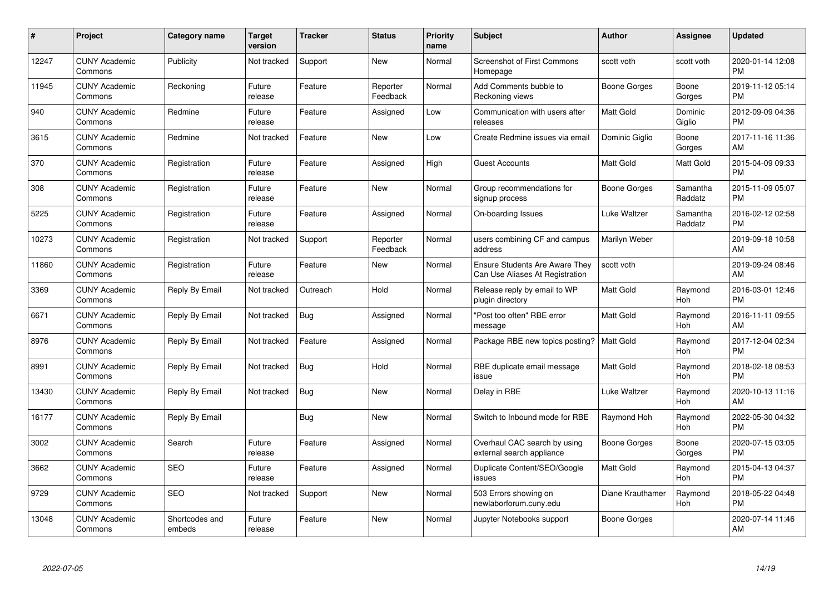| $\#$  | Project                         | <b>Category name</b>     | <b>Target</b><br>version | <b>Tracker</b> | <b>Status</b>        | Priority<br>name | <b>Subject</b>                                                           | <b>Author</b>       | <b>Assignee</b>     | <b>Updated</b>                |
|-------|---------------------------------|--------------------------|--------------------------|----------------|----------------------|------------------|--------------------------------------------------------------------------|---------------------|---------------------|-------------------------------|
| 12247 | <b>CUNY Academic</b><br>Commons | Publicity                | Not tracked              | Support        | <b>New</b>           | Normal           | <b>Screenshot of First Commons</b><br>Homepage                           | scott voth          | scott voth          | 2020-01-14 12:08<br><b>PM</b> |
| 11945 | <b>CUNY Academic</b><br>Commons | Reckoning                | Future<br>release        | Feature        | Reporter<br>Feedback | Normal           | Add Comments bubble to<br>Reckoning views                                | Boone Gorges        | Boone<br>Gorges     | 2019-11-12 05:14<br><b>PM</b> |
| 940   | <b>CUNY Academic</b><br>Commons | Redmine                  | Future<br>release        | Feature        | Assigned             | Low              | Communication with users after<br>releases                               | <b>Matt Gold</b>    | Dominic<br>Giglio   | 2012-09-09 04:36<br><b>PM</b> |
| 3615  | <b>CUNY Academic</b><br>Commons | Redmine                  | Not tracked              | Feature        | <b>New</b>           | Low              | Create Redmine issues via email                                          | Dominic Giglio      | Boone<br>Gorges     | 2017-11-16 11:36<br>AM        |
| 370   | <b>CUNY Academic</b><br>Commons | Registration             | Future<br>release        | Feature        | Assigned             | High             | <b>Guest Accounts</b>                                                    | Matt Gold           | Matt Gold           | 2015-04-09 09:33<br><b>PM</b> |
| 308   | <b>CUNY Academic</b><br>Commons | Registration             | Future<br>release        | Feature        | <b>New</b>           | Normal           | Group recommendations for<br>signup process                              | <b>Boone Gorges</b> | Samantha<br>Raddatz | 2015-11-09 05:07<br><b>PM</b> |
| 5225  | <b>CUNY Academic</b><br>Commons | Registration             | Future<br>release        | Feature        | Assigned             | Normal           | On-boarding Issues                                                       | Luke Waltzer        | Samantha<br>Raddatz | 2016-02-12 02:58<br><b>PM</b> |
| 10273 | <b>CUNY Academic</b><br>Commons | Registration             | Not tracked              | Support        | Reporter<br>Feedback | Normal           | users combining CF and campus<br>address                                 | Marilyn Weber       |                     | 2019-09-18 10:58<br>AM        |
| 11860 | <b>CUNY Academic</b><br>Commons | Registration             | Future<br>release        | Feature        | <b>New</b>           | Normal           | <b>Ensure Students Are Aware They</b><br>Can Use Aliases At Registration | scott voth          |                     | 2019-09-24 08:46<br>AM        |
| 3369  | <b>CUNY Academic</b><br>Commons | Reply By Email           | Not tracked              | Outreach       | Hold                 | Normal           | Release reply by email to WP<br>plugin directory                         | <b>Matt Gold</b>    | Raymond<br>Hoh      | 2016-03-01 12:46<br><b>PM</b> |
| 6671  | <b>CUNY Academic</b><br>Commons | Reply By Email           | Not tracked              | Bug            | Assigned             | Normal           | "Post too often" RBE error<br>message                                    | Matt Gold           | Raymond<br>Hoh      | 2016-11-11 09:55<br>AM        |
| 8976  | <b>CUNY Academic</b><br>Commons | Reply By Email           | Not tracked              | Feature        | Assigned             | Normal           | Package RBE new topics posting?                                          | <b>Matt Gold</b>    | Raymond<br>Hoh      | 2017-12-04 02:34<br><b>PM</b> |
| 8991  | <b>CUNY Academic</b><br>Commons | Reply By Email           | Not tracked              | Bug            | Hold                 | Normal           | RBE duplicate email message<br>issue                                     | Matt Gold           | Raymond<br>Hoh      | 2018-02-18 08:53<br><b>PM</b> |
| 13430 | <b>CUNY Academic</b><br>Commons | Reply By Email           | Not tracked              | Bug            | <b>New</b>           | Normal           | Delay in RBE                                                             | Luke Waltzer        | Raymond<br>Hoh      | 2020-10-13 11:16<br>AM        |
| 16177 | <b>CUNY Academic</b><br>Commons | Reply By Email           |                          | Bug            | New                  | Normal           | Switch to Inbound mode for RBE                                           | Raymond Hoh         | Raymond<br>Hoh      | 2022-05-30 04:32<br><b>PM</b> |
| 3002  | <b>CUNY Academic</b><br>Commons | Search                   | Future<br>release        | Feature        | Assigned             | Normal           | Overhaul CAC search by using<br>external search appliance                | Boone Gorges        | Boone<br>Gorges     | 2020-07-15 03:05<br><b>PM</b> |
| 3662  | <b>CUNY Academic</b><br>Commons | <b>SEO</b>               | Future<br>release        | Feature        | Assigned             | Normal           | Duplicate Content/SEO/Google<br>issues                                   | Matt Gold           | Raymond<br>Hoh      | 2015-04-13 04:37<br><b>PM</b> |
| 9729  | <b>CUNY Academic</b><br>Commons | <b>SEO</b>               | Not tracked              | Support        | New                  | Normal           | 503 Errors showing on<br>newlaborforum.cuny.edu                          | Diane Krauthamer    | Raymond<br>Hoh      | 2018-05-22 04:48<br><b>PM</b> |
| 13048 | <b>CUNY Academic</b><br>Commons | Shortcodes and<br>embeds | Future<br>release        | Feature        | <b>New</b>           | Normal           | Jupyter Notebooks support                                                | Boone Gorges        |                     | 2020-07-14 11:46<br>AM        |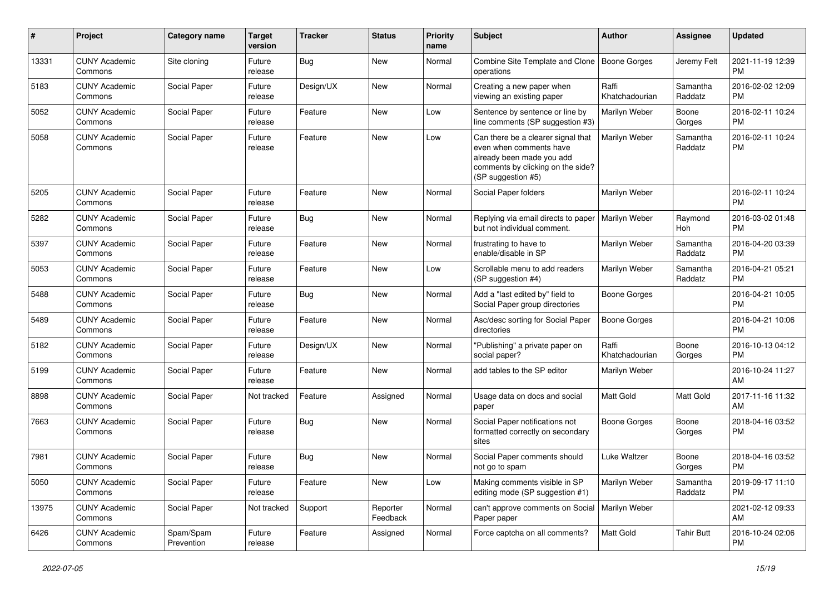| #     | Project                         | Category name           | <b>Target</b><br>version | <b>Tracker</b> | <b>Status</b>        | <b>Priority</b><br>name | Subject                                                                                                                                               | Author                  | Assignee            | <b>Updated</b>                |
|-------|---------------------------------|-------------------------|--------------------------|----------------|----------------------|-------------------------|-------------------------------------------------------------------------------------------------------------------------------------------------------|-------------------------|---------------------|-------------------------------|
| 13331 | <b>CUNY Academic</b><br>Commons | Site cloning            | Future<br>release        | Bug            | <b>New</b>           | Normal                  | Combine Site Template and Clone   Boone Gorges<br>operations                                                                                          |                         | Jeremy Felt         | 2021-11-19 12:39<br><b>PM</b> |
| 5183  | <b>CUNY Academic</b><br>Commons | Social Paper            | Future<br>release        | Design/UX      | New                  | Normal                  | Creating a new paper when<br>viewing an existing paper                                                                                                | Raffi<br>Khatchadourian | Samantha<br>Raddatz | 2016-02-02 12:09<br><b>PM</b> |
| 5052  | <b>CUNY Academic</b><br>Commons | Social Paper            | Future<br>release        | Feature        | <b>New</b>           | Low                     | Sentence by sentence or line by<br>line comments (SP suggestion #3)                                                                                   | Marilyn Weber           | Boone<br>Gorges     | 2016-02-11 10:24<br><b>PM</b> |
| 5058  | <b>CUNY Academic</b><br>Commons | Social Paper            | Future<br>release        | Feature        | <b>New</b>           | Low                     | Can there be a clearer signal that<br>even when comments have<br>already been made you add<br>comments by clicking on the side?<br>(SP suggestion #5) | Marilyn Weber           | Samantha<br>Raddatz | 2016-02-11 10:24<br><b>PM</b> |
| 5205  | <b>CUNY Academic</b><br>Commons | Social Paper            | Future<br>release        | Feature        | New                  | Normal                  | Social Paper folders                                                                                                                                  | Marilyn Weber           |                     | 2016-02-11 10:24<br><b>PM</b> |
| 5282  | <b>CUNY Academic</b><br>Commons | Social Paper            | Future<br>release        | Bug            | New                  | Normal                  | Replying via email directs to paper<br>but not individual comment.                                                                                    | Marilyn Weber           | Raymond<br>Hoh      | 2016-03-02 01:48<br><b>PM</b> |
| 5397  | <b>CUNY Academic</b><br>Commons | Social Paper            | Future<br>release        | Feature        | <b>New</b>           | Normal                  | frustrating to have to<br>enable/disable in SP                                                                                                        | Marilyn Weber           | Samantha<br>Raddatz | 2016-04-20 03:39<br><b>PM</b> |
| 5053  | <b>CUNY Academic</b><br>Commons | Social Paper            | Future<br>release        | Feature        | <b>New</b>           | Low                     | Scrollable menu to add readers<br>(SP suggestion #4)                                                                                                  | Marilyn Weber           | Samantha<br>Raddatz | 2016-04-21 05:21<br><b>PM</b> |
| 5488  | <b>CUNY Academic</b><br>Commons | Social Paper            | Future<br>release        | Bug            | New                  | Normal                  | Add a "last edited by" field to<br>Social Paper group directories                                                                                     | <b>Boone Gorges</b>     |                     | 2016-04-21 10:05<br><b>PM</b> |
| 5489  | <b>CUNY Academic</b><br>Commons | Social Paper            | Future<br>release        | Feature        | New                  | Normal                  | Asc/desc sorting for Social Paper<br>directories                                                                                                      | <b>Boone Gorges</b>     |                     | 2016-04-21 10:06<br><b>PM</b> |
| 5182  | <b>CUNY Academic</b><br>Commons | Social Paper            | Future<br>release        | Design/UX      | <b>New</b>           | Normal                  | "Publishing" a private paper on<br>social paper?                                                                                                      | Raffi<br>Khatchadourian | Boone<br>Gorges     | 2016-10-13 04:12<br><b>PM</b> |
| 5199  | <b>CUNY Academic</b><br>Commons | Social Paper            | Future<br>release        | Feature        | <b>New</b>           | Normal                  | add tables to the SP editor                                                                                                                           | Marilyn Weber           |                     | 2016-10-24 11:27<br>AM        |
| 8898  | <b>CUNY Academic</b><br>Commons | Social Paper            | Not tracked              | Feature        | Assigned             | Normal                  | Usage data on docs and social<br>paper                                                                                                                | <b>Matt Gold</b>        | Matt Gold           | 2017-11-16 11:32<br>AM        |
| 7663  | <b>CUNY Academic</b><br>Commons | Social Paper            | Future<br>release        | Bug            | <b>New</b>           | Normal                  | Social Paper notifications not<br>formatted correctly on secondary<br>sites                                                                           | Boone Gorges            | Boone<br>Gorges     | 2018-04-16 03:52<br>PM        |
| 7981  | <b>CUNY Academic</b><br>Commons | Social Paper            | Future<br>release        | Bug            | <b>New</b>           | Normal                  | Social Paper comments should<br>not go to spam                                                                                                        | Luke Waltzer            | Boone<br>Gorges     | 2018-04-16 03:52<br><b>PM</b> |
| 5050  | <b>CUNY Academic</b><br>Commons | Social Paper            | Future<br>release        | Feature        | New                  | Low                     | Making comments visible in SP<br>editing mode (SP suggestion #1)                                                                                      | Marilyn Weber           | Samantha<br>Raddatz | 2019-09-17 11:10<br><b>PM</b> |
| 13975 | <b>CUNY Academic</b><br>Commons | Social Paper            | Not tracked              | Support        | Reporter<br>Feedback | Normal                  | can't approve comments on Social   Marilyn Weber<br>Paper paper                                                                                       |                         |                     | 2021-02-12 09:33<br>AM        |
| 6426  | <b>CUNY Academic</b><br>Commons | Spam/Spam<br>Prevention | Future<br>release        | Feature        | Assigned             | Normal                  | Force captcha on all comments?                                                                                                                        | Matt Gold               | <b>Tahir Butt</b>   | 2016-10-24 02:06<br><b>PM</b> |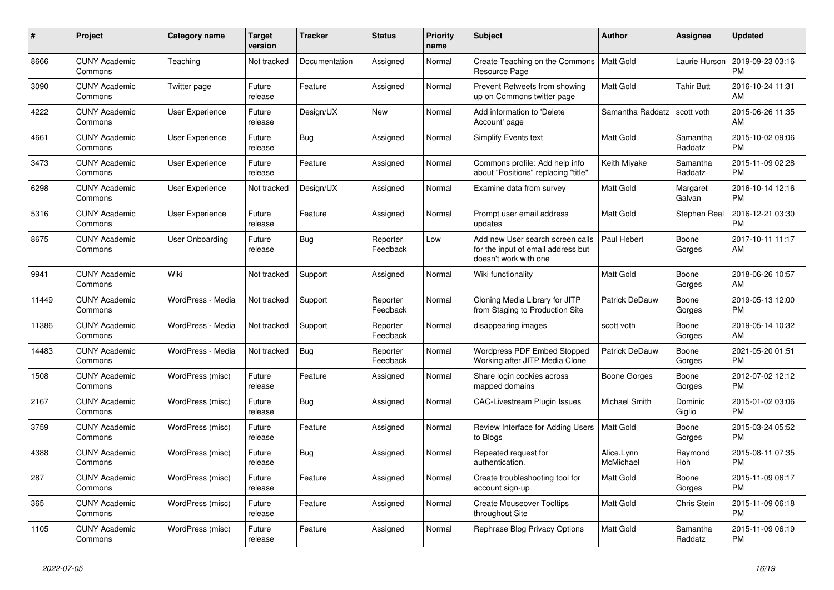| #     | <b>Project</b>                  | Category name          | <b>Target</b><br>version | <b>Tracker</b> | <b>Status</b>        | Priority<br>name | <b>Subject</b>                                                                                  | <b>Author</b>           | Assignee            | <b>Updated</b>                |
|-------|---------------------------------|------------------------|--------------------------|----------------|----------------------|------------------|-------------------------------------------------------------------------------------------------|-------------------------|---------------------|-------------------------------|
| 8666  | <b>CUNY Academic</b><br>Commons | Teaching               | Not tracked              | Documentation  | Assigned             | Normal           | Create Teaching on the Commons<br>Resource Page                                                 | Matt Gold               | Laurie Hurson       | 2019-09-23 03:16<br><b>PM</b> |
| 3090  | <b>CUNY Academic</b><br>Commons | Twitter page           | Future<br>release        | Feature        | Assigned             | Normal           | Prevent Retweets from showing<br>up on Commons twitter page                                     | Matt Gold               | <b>Tahir Butt</b>   | 2016-10-24 11:31<br>AM        |
| 4222  | <b>CUNY Academic</b><br>Commons | User Experience        | Future<br>release        | Design/UX      | New                  | Normal           | Add information to 'Delete<br>Account' page                                                     | Samantha Raddatz        | scott voth          | 2015-06-26 11:35<br>AM        |
| 4661  | <b>CUNY Academic</b><br>Commons | <b>User Experience</b> | Future<br>release        | Bug            | Assigned             | Normal           | <b>Simplify Events text</b>                                                                     | <b>Matt Gold</b>        | Samantha<br>Raddatz | 2015-10-02 09:06<br><b>PM</b> |
| 3473  | <b>CUNY Academic</b><br>Commons | <b>User Experience</b> | Future<br>release        | Feature        | Assigned             | Normal           | Commons profile: Add help info<br>about "Positions" replacing "title"                           | Keith Miyake            | Samantha<br>Raddatz | 2015-11-09 02:28<br><b>PM</b> |
| 6298  | <b>CUNY Academic</b><br>Commons | User Experience        | Not tracked              | Design/UX      | Assigned             | Normal           | Examine data from survey                                                                        | Matt Gold               | Margaret<br>Galvan  | 2016-10-14 12:16<br><b>PM</b> |
| 5316  | <b>CUNY Academic</b><br>Commons | User Experience        | Future<br>release        | Feature        | Assigned             | Normal           | Prompt user email address<br>updates                                                            | <b>Matt Gold</b>        | Stephen Real        | 2016-12-21 03:30<br><b>PM</b> |
| 8675  | <b>CUNY Academic</b><br>Commons | User Onboarding        | Future<br>release        | Bug            | Reporter<br>Feedback | Low              | Add new User search screen calls<br>for the input of email address but<br>doesn't work with one | Paul Hebert             | Boone<br>Gorges     | 2017-10-11 11:17<br>AM        |
| 9941  | <b>CUNY Academic</b><br>Commons | Wiki                   | Not tracked              | Support        | Assigned             | Normal           | Wiki functionality                                                                              | <b>Matt Gold</b>        | Boone<br>Gorges     | 2018-06-26 10:57<br>AM        |
| 11449 | <b>CUNY Academic</b><br>Commons | WordPress - Media      | Not tracked              | Support        | Reporter<br>Feedback | Normal           | Cloning Media Library for JITP<br>from Staging to Production Site                               | Patrick DeDauw          | Boone<br>Gorges     | 2019-05-13 12:00<br><b>PM</b> |
| 11386 | <b>CUNY Academic</b><br>Commons | WordPress - Media      | Not tracked              | Support        | Reporter<br>Feedback | Normal           | disappearing images                                                                             | scott voth              | Boone<br>Gorges     | 2019-05-14 10:32<br>AM        |
| 14483 | <b>CUNY Academic</b><br>Commons | WordPress - Media      | Not tracked              | Bug            | Reporter<br>Feedback | Normal           | Wordpress PDF Embed Stopped<br>Working after JITP Media Clone                                   | Patrick DeDauw          | Boone<br>Gorges     | 2021-05-20 01:51<br><b>PM</b> |
| 1508  | <b>CUNY Academic</b><br>Commons | WordPress (misc)       | Future<br>release        | Feature        | Assigned             | Normal           | Share login cookies across<br>mapped domains                                                    | Boone Gorges            | Boone<br>Gorges     | 2012-07-02 12:12<br><b>PM</b> |
| 2167  | <b>CUNY Academic</b><br>Commons | WordPress (misc)       | Future<br>release        | Bug            | Assigned             | Normal           | CAC-Livestream Plugin Issues                                                                    | Michael Smith           | Dominic<br>Giglio   | 2015-01-02 03:06<br><b>PM</b> |
| 3759  | <b>CUNY Academic</b><br>Commons | WordPress (misc)       | Future<br>release        | Feature        | Assigned             | Normal           | Review Interface for Adding Users<br>to Blogs                                                   | <b>Matt Gold</b>        | Boone<br>Gorges     | 2015-03-24 05:52<br><b>PM</b> |
| 4388  | <b>CUNY Academic</b><br>Commons | WordPress (misc)       | Future<br>release        | Bug            | Assigned             | Normal           | Repeated request for<br>authentication.                                                         | Alice.Lynn<br>McMichael | Raymond<br>Hoh      | 2015-08-11 07:35<br><b>PM</b> |
| 287   | <b>CUNY Academic</b><br>Commons | WordPress (misc)       | Future<br>release        | Feature        | Assigned             | Normal           | Create troubleshooting tool for<br>account sign-up                                              | Matt Gold               | Boone<br>Gorges     | 2015-11-09 06:17<br><b>PM</b> |
| 365   | <b>CUNY Academic</b><br>Commons | WordPress (misc)       | Future<br>release        | Feature        | Assigned             | Normal           | <b>Create Mouseover Tooltips</b><br>throughout Site                                             | Matt Gold               | Chris Stein         | 2015-11-09 06:18<br><b>PM</b> |
| 1105  | <b>CUNY Academic</b><br>Commons | WordPress (misc)       | Future<br>release        | Feature        | Assigned             | Normal           | Rephrase Blog Privacy Options                                                                   | <b>Matt Gold</b>        | Samantha<br>Raddatz | 2015-11-09 06:19<br><b>PM</b> |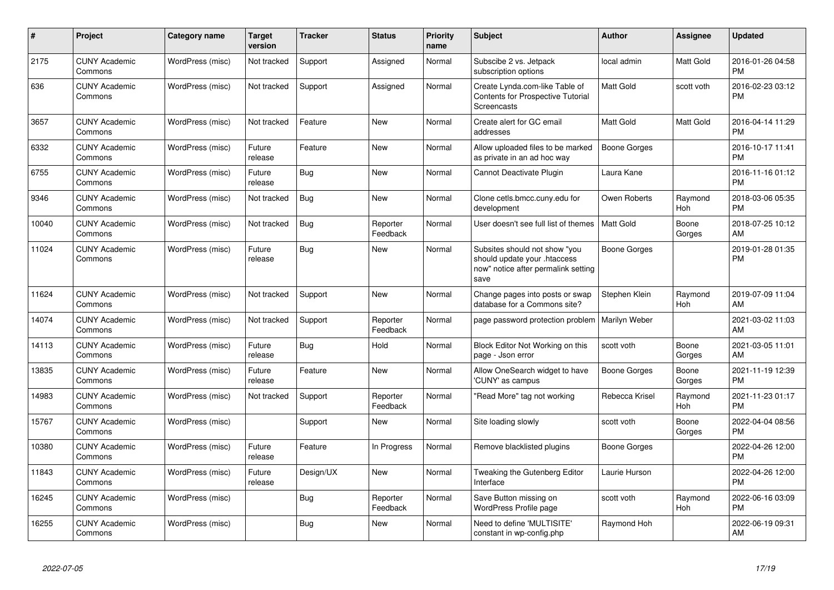| #     | Project                         | <b>Category name</b> | <b>Target</b><br>version | <b>Tracker</b> | <b>Status</b>        | <b>Priority</b><br>name | <b>Subject</b>                                                                                               | <b>Author</b>    | Assignee         | <b>Updated</b>                |
|-------|---------------------------------|----------------------|--------------------------|----------------|----------------------|-------------------------|--------------------------------------------------------------------------------------------------------------|------------------|------------------|-------------------------------|
| 2175  | <b>CUNY Academic</b><br>Commons | WordPress (misc)     | Not tracked              | Support        | Assigned             | Normal                  | Subscibe 2 vs. Jetpack<br>subscription options                                                               | local admin      | <b>Matt Gold</b> | 2016-01-26 04:58<br><b>PM</b> |
| 636   | <b>CUNY Academic</b><br>Commons | WordPress (misc)     | Not tracked              | Support        | Assigned             | Normal                  | Create Lynda.com-like Table of<br><b>Contents for Prospective Tutorial</b><br>Screencasts                    | <b>Matt Gold</b> | scott voth       | 2016-02-23 03:12<br><b>PM</b> |
| 3657  | <b>CUNY Academic</b><br>Commons | WordPress (misc)     | Not tracked              | Feature        | <b>New</b>           | Normal                  | Create alert for GC email<br>addresses                                                                       | <b>Matt Gold</b> | Matt Gold        | 2016-04-14 11:29<br><b>PM</b> |
| 6332  | <b>CUNY Academic</b><br>Commons | WordPress (misc)     | Future<br>release        | Feature        | <b>New</b>           | Normal                  | Allow uploaded files to be marked<br>as private in an ad hoc way                                             | Boone Gorges     |                  | 2016-10-17 11:41<br><b>PM</b> |
| 6755  | <b>CUNY Academic</b><br>Commons | WordPress (misc)     | Future<br>release        | Bug            | <b>New</b>           | Normal                  | Cannot Deactivate Plugin                                                                                     | Laura Kane       |                  | 2016-11-16 01:12<br><b>PM</b> |
| 9346  | <b>CUNY Academic</b><br>Commons | WordPress (misc)     | Not tracked              | Bug            | <b>New</b>           | Normal                  | Clone cetls.bmcc.cuny.edu for<br>development                                                                 | Owen Roberts     | Raymond<br>Hoh   | 2018-03-06 05:35<br><b>PM</b> |
| 10040 | <b>CUNY Academic</b><br>Commons | WordPress (misc)     | Not tracked              | Bug            | Reporter<br>Feedback | Normal                  | User doesn't see full list of themes                                                                         | <b>Matt Gold</b> | Boone<br>Gorges  | 2018-07-25 10:12<br>AM        |
| 11024 | <b>CUNY Academic</b><br>Commons | WordPress (misc)     | Future<br>release        | Bug            | New                  | Normal                  | Subsites should not show "you<br>should update your .htaccess<br>now" notice after permalink setting<br>save | Boone Gorges     |                  | 2019-01-28 01:35<br><b>PM</b> |
| 11624 | <b>CUNY Academic</b><br>Commons | WordPress (misc)     | Not tracked              | Support        | <b>New</b>           | Normal                  | Change pages into posts or swap<br>database for a Commons site?                                              | Stephen Klein    | Raymond<br>Hoh   | 2019-07-09 11:04<br>AM        |
| 14074 | <b>CUNY Academic</b><br>Commons | WordPress (misc)     | Not tracked              | Support        | Reporter<br>Feedback | Normal                  | page password protection problem                                                                             | Marilyn Weber    |                  | 2021-03-02 11:03<br>AM        |
| 14113 | <b>CUNY Academic</b><br>Commons | WordPress (misc)     | Future<br>release        | Bug            | Hold                 | Normal                  | Block Editor Not Working on this<br>page - Json error                                                        | scott voth       | Boone<br>Gorges  | 2021-03-05 11:01<br>AM        |
| 13835 | <b>CUNY Academic</b><br>Commons | WordPress (misc)     | Future<br>release        | Feature        | <b>New</b>           | Normal                  | Allow OneSearch widget to have<br>'CUNY' as campus                                                           | Boone Gorges     | Boone<br>Gorges  | 2021-11-19 12:39<br><b>PM</b> |
| 14983 | <b>CUNY Academic</b><br>Commons | WordPress (misc)     | Not tracked              | Support        | Reporter<br>Feedback | Normal                  | 'Read More" tag not working                                                                                  | Rebecca Krisel   | Raymond<br>Hoh   | 2021-11-23 01:17<br><b>PM</b> |
| 15767 | <b>CUNY Academic</b><br>Commons | WordPress (misc)     |                          | Support        | <b>New</b>           | Normal                  | Site loading slowly                                                                                          | scott voth       | Boone<br>Gorges  | 2022-04-04 08:56<br><b>PM</b> |
| 10380 | <b>CUNY Academic</b><br>Commons | WordPress (misc)     | Future<br>release        | Feature        | In Progress          | Normal                  | Remove blacklisted plugins                                                                                   | Boone Gorges     |                  | 2022-04-26 12:00<br><b>PM</b> |
| 11843 | <b>CUNY Academic</b><br>Commons | WordPress (misc)     | Future<br>release        | Design/UX      | <b>New</b>           | Normal                  | Tweaking the Gutenberg Editor<br>Interface                                                                   | Laurie Hurson    |                  | 2022-04-26 12:00<br><b>PM</b> |
| 16245 | <b>CUNY Academic</b><br>Commons | WordPress (misc)     |                          | Bug            | Reporter<br>Feedback | Normal                  | Save Button missing on<br>WordPress Profile page                                                             | scott voth       | Raymond<br>Hoh   | 2022-06-16 03:09<br>PM        |
| 16255 | <b>CUNY Academic</b><br>Commons | WordPress (misc)     |                          | Bug            | <b>New</b>           | Normal                  | Need to define 'MULTISITE'<br>constant in wp-config.php                                                      | Raymond Hoh      |                  | 2022-06-19 09:31<br>AM        |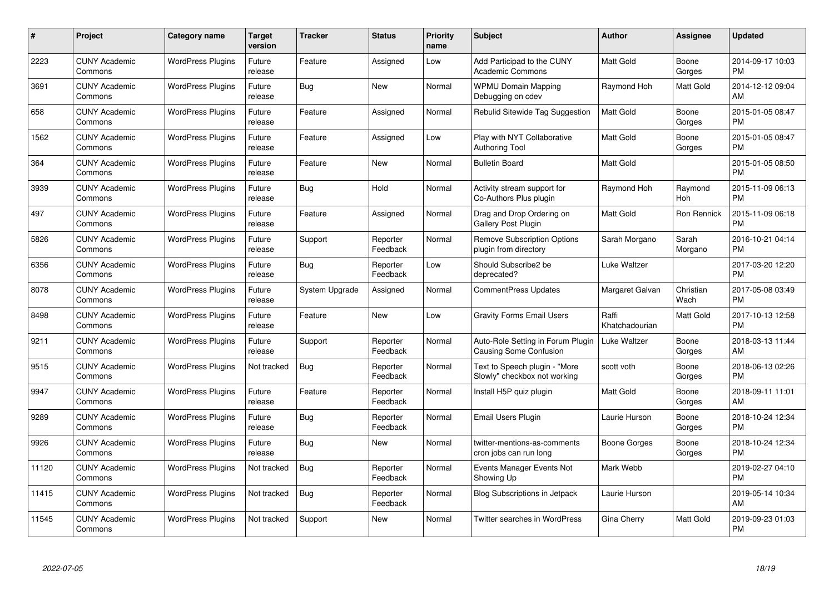| $\#$  | Project                         | <b>Category name</b>     | <b>Target</b><br>version | <b>Tracker</b> | <b>Status</b>        | Priority<br>name | <b>Subject</b>                                                | <b>Author</b>           | <b>Assignee</b>   | <b>Updated</b>                |
|-------|---------------------------------|--------------------------|--------------------------|----------------|----------------------|------------------|---------------------------------------------------------------|-------------------------|-------------------|-------------------------------|
| 2223  | <b>CUNY Academic</b><br>Commons | <b>WordPress Plugins</b> | Future<br>release        | Feature        | Assigned             | Low              | Add Participad to the CUNY<br><b>Academic Commons</b>         | <b>Matt Gold</b>        | Boone<br>Gorges   | 2014-09-17 10:03<br><b>PM</b> |
| 3691  | <b>CUNY Academic</b><br>Commons | <b>WordPress Plugins</b> | Future<br>release        | Bug            | <b>New</b>           | Normal           | <b>WPMU Domain Mapping</b><br>Debugging on cdev               | Raymond Hoh             | Matt Gold         | 2014-12-12 09:04<br>AM        |
| 658   | <b>CUNY Academic</b><br>Commons | <b>WordPress Plugins</b> | Future<br>release        | Feature        | Assigned             | Normal           | Rebulid Sitewide Tag Suggestion                               | <b>Matt Gold</b>        | Boone<br>Gorges   | 2015-01-05 08:47<br><b>PM</b> |
| 1562  | <b>CUNY Academic</b><br>Commons | <b>WordPress Plugins</b> | Future<br>release        | Feature        | Assigned             | Low              | Play with NYT Collaborative<br><b>Authoring Tool</b>          | <b>Matt Gold</b>        | Boone<br>Gorges   | 2015-01-05 08:47<br><b>PM</b> |
| 364   | <b>CUNY Academic</b><br>Commons | <b>WordPress Plugins</b> | Future<br>release        | Feature        | <b>New</b>           | Normal           | <b>Bulletin Board</b>                                         | Matt Gold               |                   | 2015-01-05 08:50<br><b>PM</b> |
| 3939  | <b>CUNY Academic</b><br>Commons | <b>WordPress Plugins</b> | Future<br>release        | <b>Bug</b>     | Hold                 | Normal           | Activity stream support for<br>Co-Authors Plus plugin         | Raymond Hoh             | Raymond<br>Hoh    | 2015-11-09 06:13<br><b>PM</b> |
| 497   | <b>CUNY Academic</b><br>Commons | <b>WordPress Plugins</b> | Future<br>release        | Feature        | Assigned             | Normal           | Drag and Drop Ordering on<br>Gallery Post Plugin              | <b>Matt Gold</b>        | Ron Rennick       | 2015-11-09 06:18<br><b>PM</b> |
| 5826  | <b>CUNY Academic</b><br>Commons | <b>WordPress Plugins</b> | Future<br>release        | Support        | Reporter<br>Feedback | Normal           | <b>Remove Subscription Options</b><br>plugin from directory   | Sarah Morgano           | Sarah<br>Morgano  | 2016-10-21 04:14<br><b>PM</b> |
| 6356  | <b>CUNY Academic</b><br>Commons | <b>WordPress Plugins</b> | Future<br>release        | Bug            | Reporter<br>Feedback | Low              | Should Subscribe2 be<br>deprecated?                           | Luke Waltzer            |                   | 2017-03-20 12:20<br><b>PM</b> |
| 8078  | <b>CUNY Academic</b><br>Commons | <b>WordPress Plugins</b> | Future<br>release        | System Upgrade | Assigned             | Normal           | <b>CommentPress Updates</b>                                   | Margaret Galvan         | Christian<br>Wach | 2017-05-08 03:49<br><b>PM</b> |
| 8498  | <b>CUNY Academic</b><br>Commons | <b>WordPress Plugins</b> | Future<br>release        | Feature        | <b>New</b>           | Low              | <b>Gravity Forms Email Users</b>                              | Raffi<br>Khatchadourian | Matt Gold         | 2017-10-13 12:58<br><b>PM</b> |
| 9211  | <b>CUNY Academic</b><br>Commons | <b>WordPress Plugins</b> | Future<br>release        | Support        | Reporter<br>Feedback | Normal           | Auto-Role Setting in Forum Plugin<br>Causing Some Confusion   | Luke Waltzer            | Boone<br>Gorges   | 2018-03-13 11:44<br>AM        |
| 9515  | <b>CUNY Academic</b><br>Commons | <b>WordPress Plugins</b> | Not tracked              | Bug            | Reporter<br>Feedback | Normal           | Text to Speech plugin - "More<br>Slowly" checkbox not working | scott voth              | Boone<br>Gorges   | 2018-06-13 02:26<br><b>PM</b> |
| 9947  | <b>CUNY Academic</b><br>Commons | <b>WordPress Plugins</b> | Future<br>release        | Feature        | Reporter<br>Feedback | Normal           | Install H5P quiz plugin                                       | Matt Gold               | Boone<br>Gorges   | 2018-09-11 11:01<br>AM        |
| 9289  | <b>CUNY Academic</b><br>Commons | <b>WordPress Plugins</b> | Future<br>release        | Bug            | Reporter<br>Feedback | Normal           | Email Users Plugin                                            | Laurie Hurson           | Boone<br>Gorges   | 2018-10-24 12:34<br><b>PM</b> |
| 9926  | <b>CUNY Academic</b><br>Commons | <b>WordPress Plugins</b> | Future<br>release        | Bug            | New                  | Normal           | twitter-mentions-as-comments<br>cron jobs can run long        | <b>Boone Gorges</b>     | Boone<br>Gorges   | 2018-10-24 12:34<br><b>PM</b> |
| 11120 | <b>CUNY Academic</b><br>Commons | <b>WordPress Plugins</b> | Not tracked              | Bug            | Reporter<br>Feedback | Normal           | Events Manager Events Not<br>Showing Up                       | Mark Webb               |                   | 2019-02-27 04:10<br><b>PM</b> |
| 11415 | <b>CUNY Academic</b><br>Commons | <b>WordPress Plugins</b> | Not tracked              | Bug            | Reporter<br>Feedback | Normal           | Blog Subscriptions in Jetpack                                 | Laurie Hurson           |                   | 2019-05-14 10:34<br>AM        |
| 11545 | CUNY Academic<br>Commons        | <b>WordPress Plugins</b> | Not tracked              | Support        | <b>New</b>           | Normal           | Twitter searches in WordPress                                 | Gina Cherry             | Matt Gold         | 2019-09-23 01:03<br>PM        |